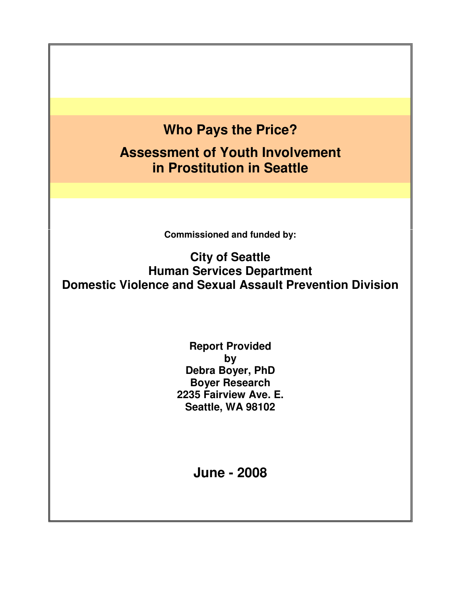# **Who Pays the Price?**

# **Assessment of Youth Involvement in Prostitution in Seattle**

**Commissioned and funded by:** 

**City of Seattle Human Services Department Domestic Violence and Sexual Assault Prevention Division** 

> **Report Provided by Debra Boyer, PhD Boyer Research 2235 Fairview Ave. E. Seattle, WA 98102**

> > **June - 2008**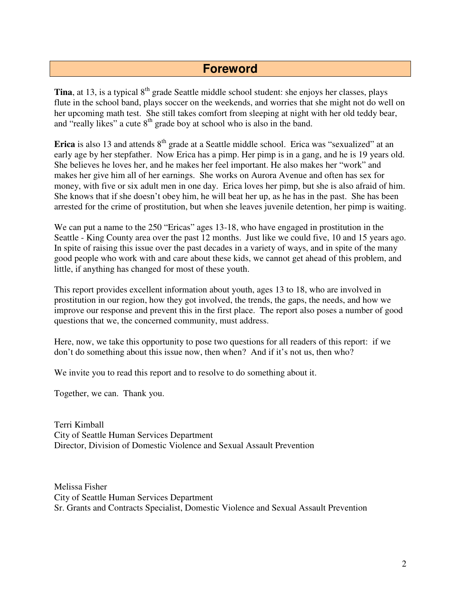# **Foreword**

Tina, at 13, is a typical 8<sup>th</sup> grade Seattle middle school student: she enjoys her classes, plays flute in the school band, plays soccer on the weekends, and worries that she might not do well on her upcoming math test. She still takes comfort from sleeping at night with her old teddy bear, and "really likes" a cute  $8<sup>th</sup>$  grade boy at school who is also in the band.

**Erica** is also 13 and attends 8<sup>th</sup> grade at a Seattle middle school. Erica was "sexualized" at an early age by her stepfather. Now Erica has a pimp. Her pimp is in a gang, and he is 19 years old. She believes he loves her, and he makes her feel important. He also makes her "work" and makes her give him all of her earnings. She works on Aurora Avenue and often has sex for money, with five or six adult men in one day. Erica loves her pimp, but she is also afraid of him. She knows that if she doesn't obey him, he will beat her up, as he has in the past. She has been arrested for the crime of prostitution, but when she leaves juvenile detention, her pimp is waiting.

We can put a name to the 250 "Ericas" ages 13-18, who have engaged in prostitution in the Seattle - King County area over the past 12 months. Just like we could five, 10 and 15 years ago. In spite of raising this issue over the past decades in a variety of ways, and in spite of the many good people who work with and care about these kids, we cannot get ahead of this problem, and little, if anything has changed for most of these youth.

This report provides excellent information about youth, ages 13 to 18, who are involved in prostitution in our region, how they got involved, the trends, the gaps, the needs, and how we improve our response and prevent this in the first place. The report also poses a number of good questions that we, the concerned community, must address.

Here, now, we take this opportunity to pose two questions for all readers of this report: if we don't do something about this issue now, then when? And if it's not us, then who?

We invite you to read this report and to resolve to do something about it.

Together, we can. Thank you.

Terri Kimball City of Seattle Human Services Department Director, Division of Domestic Violence and Sexual Assault Prevention

Melissa Fisher City of Seattle Human Services Department Sr. Grants and Contracts Specialist, Domestic Violence and Sexual Assault Prevention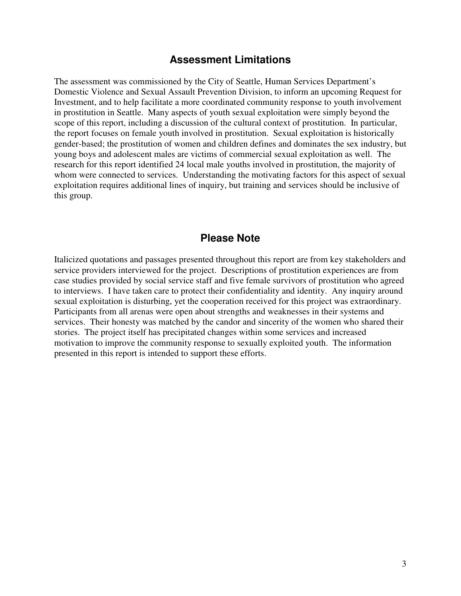# **Assessment Limitations**

The assessment was commissioned by the City of Seattle, Human Services Department's Domestic Violence and Sexual Assault Prevention Division, to inform an upcoming Request for Investment, and to help facilitate a more coordinated community response to youth involvement in prostitution in Seattle. Many aspects of youth sexual exploitation were simply beyond the scope of this report, including a discussion of the cultural context of prostitution. In particular, the report focuses on female youth involved in prostitution. Sexual exploitation is historically gender-based; the prostitution of women and children defines and dominates the sex industry, but young boys and adolescent males are victims of commercial sexual exploitation as well. The research for this report identified 24 local male youths involved in prostitution, the majority of whom were connected to services. Understanding the motivating factors for this aspect of sexual exploitation requires additional lines of inquiry, but training and services should be inclusive of this group.

## **Please Note**

Italicized quotations and passages presented throughout this report are from key stakeholders and service providers interviewed for the project. Descriptions of prostitution experiences are from case studies provided by social service staff and five female survivors of prostitution who agreed to interviews. I have taken care to protect their confidentiality and identity. Any inquiry around sexual exploitation is disturbing, yet the cooperation received for this project was extraordinary. Participants from all arenas were open about strengths and weaknesses in their systems and services. Their honesty was matched by the candor and sincerity of the women who shared their stories. The project itself has precipitated changes within some services and increased motivation to improve the community response to sexually exploited youth. The information presented in this report is intended to support these efforts.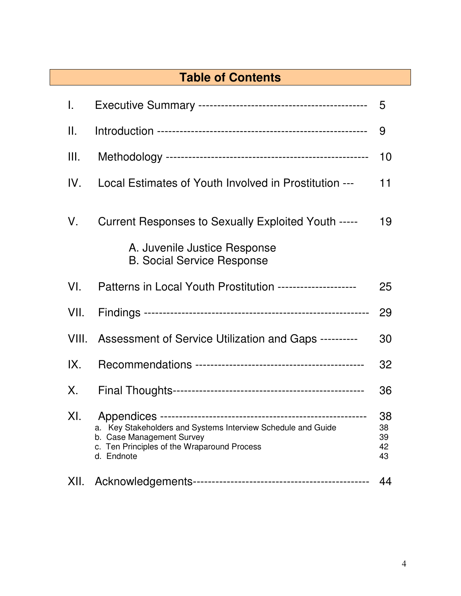# **Table of Contents**

| I.              |                                                                                                                                                        | 5                          |
|-----------------|--------------------------------------------------------------------------------------------------------------------------------------------------------|----------------------------|
| $\mathbf{II}$ . |                                                                                                                                                        | 9                          |
| III.            |                                                                                                                                                        | 10                         |
| IV.             | Local Estimates of Youth Involved in Prostitution ---                                                                                                  | 11                         |
| V.              | Current Responses to Sexually Exploited Youth -----<br>A. Juvenile Justice Response                                                                    | 19                         |
|                 | <b>B. Social Service Response</b>                                                                                                                      |                            |
| VI.             | Patterns in Local Youth Prostitution --------------------                                                                                              | 25                         |
| VII.            |                                                                                                                                                        | 29                         |
| VIII.           | Assessment of Service Utilization and Gaps ---------                                                                                                   | 30                         |
| IX.             |                                                                                                                                                        | 32                         |
| Χ.              |                                                                                                                                                        | 36                         |
| XI.             | a. Key Stakeholders and Systems Interview Schedule and Guide<br>b. Case Management Survey<br>c. Ten Principles of the Wraparound Process<br>d. Endnote | 38<br>38<br>39<br>42<br>43 |
| XII.            |                                                                                                                                                        | 44                         |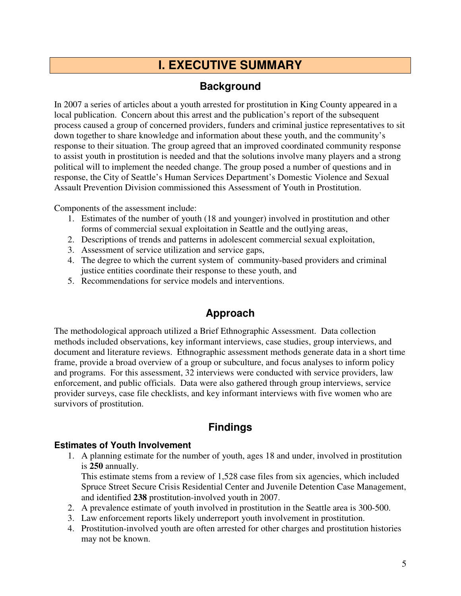# **I. EXECUTIVE SUMMARY**

# **Background**

In 2007 a series of articles about a youth arrested for prostitution in King County appeared in a local publication. Concern about this arrest and the publication's report of the subsequent process caused a group of concerned providers, funders and criminal justice representatives to sit down together to share knowledge and information about these youth, and the community's response to their situation. The group agreed that an improved coordinated community response to assist youth in prostitution is needed and that the solutions involve many players and a strong political will to implement the needed change. The group posed a number of questions and in response, the City of Seattle's Human Services Department's Domestic Violence and Sexual Assault Prevention Division commissioned this Assessment of Youth in Prostitution.

Components of the assessment include:

- 1. Estimates of the number of youth (18 and younger) involved in prostitution and other forms of commercial sexual exploitation in Seattle and the outlying areas,
- 2. Descriptions of trends and patterns in adolescent commercial sexual exploitation,
- 3. Assessment of service utilization and service gaps,
- 4. The degree to which the current system of community-based providers and criminal justice entities coordinate their response to these youth, and
- 5. Recommendations for service models and interventions.

# **Approach**

The methodological approach utilized a Brief Ethnographic Assessment. Data collection methods included observations, key informant interviews, case studies, group interviews, and document and literature reviews. Ethnographic assessment methods generate data in a short time frame, provide a broad overview of a group or subculture, and focus analyses to inform policy and programs. For this assessment, 32 interviews were conducted with service providers, law enforcement, and public officials. Data were also gathered through group interviews, service provider surveys, case file checklists, and key informant interviews with five women who are survivors of prostitution.

# **Findings**

### **Estimates of Youth Involvement**

1. A planning estimate for the number of youth, ages 18 and under, involved in prostitution is **250** annually.

This estimate stems from a review of 1,528 case files from six agencies, which included Spruce Street Secure Crisis Residential Center and Juvenile Detention Case Management, and identified **238** prostitution-involved youth in 2007.

- 2. A prevalence estimate of youth involved in prostitution in the Seattle area is 300-500.
- 3. Law enforcement reports likely underreport youth involvement in prostitution.
- 4. Prostitution-involved youth are often arrested for other charges and prostitution histories may not be known.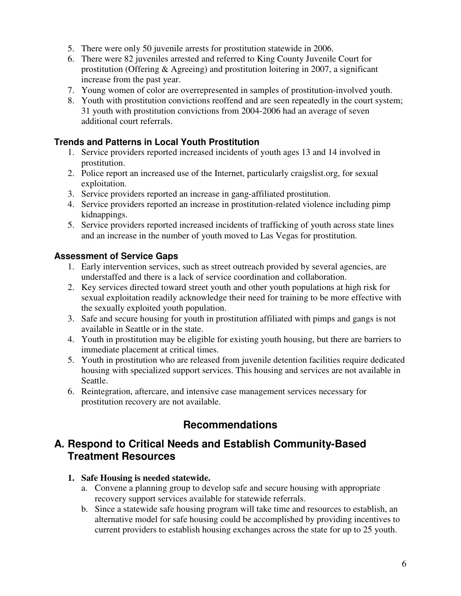- 5. There were only 50 juvenile arrests for prostitution statewide in 2006.
- 6. There were 82 juveniles arrested and referred to King County Juvenile Court for prostitution (Offering  $\&$  Agreeing) and prostitution loitering in 2007, a significant increase from the past year.
- 7. Young women of color are overrepresented in samples of prostitution-involved youth.
- 8. Youth with prostitution convictions reoffend and are seen repeatedly in the court system; 31 youth with prostitution convictions from 2004-2006 had an average of seven additional court referrals.

# **Trends and Patterns in Local Youth Prostitution**

- 1. Service providers reported increased incidents of youth ages 13 and 14 involved in prostitution.
- 2. Police report an increased use of the Internet, particularly craigslist.org, for sexual exploitation.
- 3. Service providers reported an increase in gang-affiliated prostitution.
- 4. Service providers reported an increase in prostitution-related violence including pimp kidnappings.
- 5. Service providers reported increased incidents of trafficking of youth across state lines and an increase in the number of youth moved to Las Vegas for prostitution.

## **Assessment of Service Gaps**

- 1. Early intervention services, such as street outreach provided by several agencies, are understaffed and there is a lack of service coordination and collaboration.
- 2. Key services directed toward street youth and other youth populations at high risk for sexual exploitation readily acknowledge their need for training to be more effective with the sexually exploited youth population.
- 3. Safe and secure housing for youth in prostitution affiliated with pimps and gangs is not available in Seattle or in the state.
- 4. Youth in prostitution may be eligible for existing youth housing, but there are barriers to immediate placement at critical times.
- 5. Youth in prostitution who are released from juvenile detention facilities require dedicated housing with specialized support services. This housing and services are not available in Seattle.
- 6. Reintegration, aftercare, and intensive case management services necessary for prostitution recovery are not available.

# **Recommendations**

# **A. Respond to Critical Needs and Establish Community-Based Treatment Resources**

### **1. Safe Housing is needed statewide.**

- a. Convene a planning group to develop safe and secure housing with appropriate recovery support services available for statewide referrals.
- b. Since a statewide safe housing program will take time and resources to establish, an alternative model for safe housing could be accomplished by providing incentives to current providers to establish housing exchanges across the state for up to 25 youth.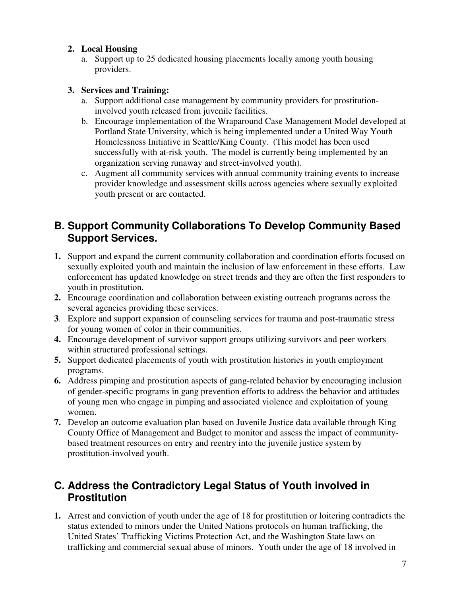## **2. Local Housing**

a. Support up to 25 dedicated housing placements locally among youth housing providers.

## **3. Services and Training:**

- a. Support additional case management by community providers for prostitutioninvolved youth released from juvenile facilities.
- b. Encourage implementation of the Wraparound Case Management Model developed at Portland State University, which is being implemented under a United Way Youth Homelessness Initiative in Seattle/King County. (This model has been used successfully with at-risk youth. The model is currently being implemented by an organization serving runaway and street-involved youth).
- c. Augment all community services with annual community training events to increase provider knowledge and assessment skills across agencies where sexually exploited youth present or are contacted.

# **B. Support Community Collaborations To Develop Community Based Support Services.**

- **1.** Support and expand the current community collaboration and coordination efforts focused on sexually exploited youth and maintain the inclusion of law enforcement in these efforts. Law enforcement has updated knowledge on street trends and they are often the first responders to youth in prostitution.
- **2.** Encourage coordination and collaboration between existing outreach programs across the several agencies providing these services.
- **3**. Explore and support expansion of counseling services for trauma and post-traumatic stress for young women of color in their communities.
- **4.** Encourage development of survivor support groups utilizing survivors and peer workers within structured professional settings.
- **5.** Support dedicated placements of youth with prostitution histories in youth employment programs.
- **6.** Address pimping and prostitution aspects of gang-related behavior by encouraging inclusion of gender-specific programs in gang prevention efforts to address the behavior and attitudes of young men who engage in pimping and associated violence and exploitation of young women.
- **7.** Develop an outcome evaluation plan based on Juvenile Justice data available through King County Office of Management and Budget to monitor and assess the impact of communitybased treatment resources on entry and reentry into the juvenile justice system by prostitution-involved youth.

# **C. Address the Contradictory Legal Status of Youth involved in Prostitution**

**1.** Arrest and conviction of youth under the age of 18 for prostitution or loitering contradicts the status extended to minors under the United Nations protocols on human trafficking, the United States' Trafficking Victims Protection Act, and the Washington State laws on trafficking and commercial sexual abuse of minors. Youth under the age of 18 involved in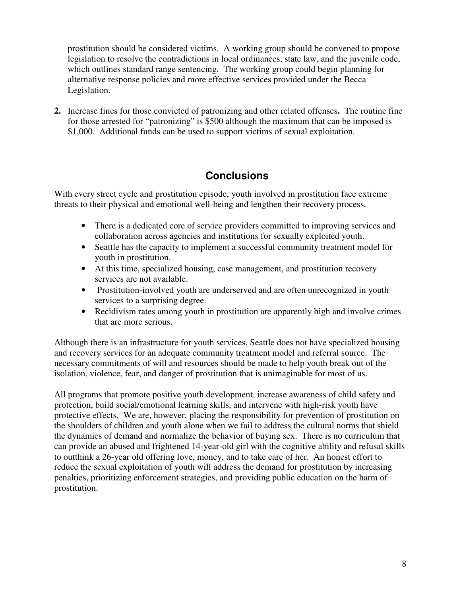prostitution should be considered victims. A working group should be convened to propose legislation to resolve the contradictions in local ordinances, state law, and the juvenile code, which outlines standard range sentencing. The working group could begin planning for alternative response policies and more effective services provided under the Becca Legislation.

**2.** Increase fines for those convicted of patronizing and other related offenses**.** The routine fine for those arrested for "patronizing" is \$500 although the maximum that can be imposed is \$1,000. Additional funds can be used to support victims of sexual exploitation.

# **Conclusions**

With every street cycle and prostitution episode, youth involved in prostitution face extreme threats to their physical and emotional well-being and lengthen their recovery process.

- There is a dedicated core of service providers committed to improving services and collaboration across agencies and institutions for sexually exploited youth.
- Seattle has the capacity to implement a successful community treatment model for youth in prostitution.
- At this time, specialized housing, case management, and prostitution recovery services are not available.
- Prostitution-involved youth are underserved and are often unrecognized in youth services to a surprising degree.
- Recidivism rates among youth in prostitution are apparently high and involve crimes that are more serious.

Although there is an infrastructure for youth services, Seattle does not have specialized housing and recovery services for an adequate community treatment model and referral source. The necessary commitments of will and resources should be made to help youth break out of the isolation, violence, fear, and danger of prostitution that is unimaginable for most of us.

All programs that promote positive youth development, increase awareness of child safety and protection, build social/emotional learning skills, and intervene with high-risk youth have protective effects. We are, however, placing the responsibility for prevention of prostitution on the shoulders of children and youth alone when we fail to address the cultural norms that shield the dynamics of demand and normalize the behavior of buying sex. There is no curriculum that can provide an abused and frightened 14-year-old girl with the cognitive ability and refusal skills to outthink a 26-year old offering love, money, and to take care of her. An honest effort to reduce the sexual exploitation of youth will address the demand for prostitution by increasing penalties, prioritizing enforcement strategies, and providing public education on the harm of prostitution.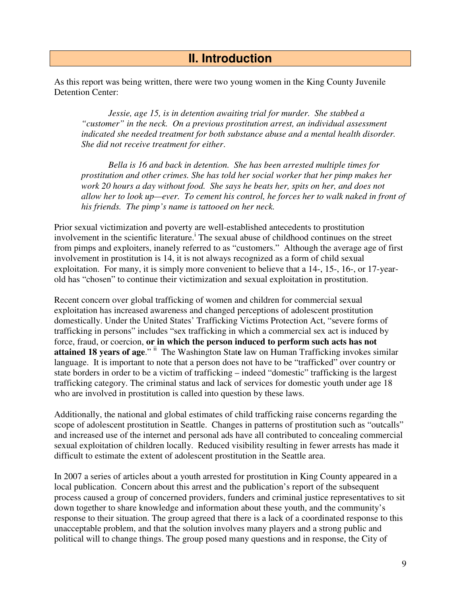# **II. Introduction**

As this report was being written, there were two young women in the King County Juvenile Detention Center:

*Jessie, age 15, is in detention awaiting trial for murder. She stabbed a "customer" in the neck. On a previous prostitution arrest, an individual assessment indicated she needed treatment for both substance abuse and a mental health disorder. She did not receive treatment for either*.

*Bella is 16 and back in detention. She has been arrested multiple times for prostitution and other crimes. She has told her social worker that her pimp makes her work 20 hours a day without food. She says he beats her, spits on her, and does not allow her to look up—ever. To cement his control, he forces her to walk naked in front of his friends. The pimp's name is tattooed on her neck.* 

Prior sexual victimization and poverty are well-established antecedents to prostitution involvement in the scientific literature.<sup>1</sup> The sexual abuse of childhood continues on the street from pimps and exploiters, inanely referred to as "customers." Although the average age of first involvement in prostitution is 14, it is not always recognized as a form of child sexual exploitation. For many, it is simply more convenient to believe that a 14-, 15-, 16-, or 17-yearold has "chosen" to continue their victimization and sexual exploitation in prostitution.

Recent concern over global trafficking of women and children for commercial sexual exploitation has increased awareness and changed perceptions of adolescent prostitution domestically. Under the United States' Trafficking Victims Protection Act, "severe forms of trafficking in persons" includes "sex trafficking in which a commercial sex act is induced by force, fraud, or coercion, **or in which the person induced to perform such acts has not attained 18 years of age."** <sup>ii</sup> The Washington State law on Human Trafficking invokes similar language. It is important to note that a person does not have to be "trafficked" over country or state borders in order to be a victim of trafficking – indeed "domestic" trafficking is the largest trafficking category. The criminal status and lack of services for domestic youth under age 18 who are involved in prostitution is called into question by these laws.

Additionally, the national and global estimates of child trafficking raise concerns regarding the scope of adolescent prostitution in Seattle. Changes in patterns of prostitution such as "outcalls" and increased use of the internet and personal ads have all contributed to concealing commercial sexual exploitation of children locally. Reduced visibility resulting in fewer arrests has made it difficult to estimate the extent of adolescent prostitution in the Seattle area.

In 2007 a series of articles about a youth arrested for prostitution in King County appeared in a local publication. Concern about this arrest and the publication's report of the subsequent process caused a group of concerned providers, funders and criminal justice representatives to sit down together to share knowledge and information about these youth, and the community's response to their situation. The group agreed that there is a lack of a coordinated response to this unacceptable problem, and that the solution involves many players and a strong public and political will to change things. The group posed many questions and in response, the City of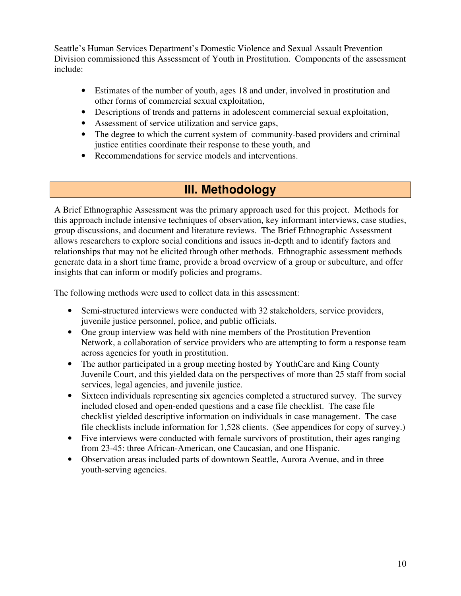Seattle's Human Services Department's Domestic Violence and Sexual Assault Prevention Division commissioned this Assessment of Youth in Prostitution. Components of the assessment include:

- Estimates of the number of youth, ages 18 and under, involved in prostitution and other forms of commercial sexual exploitation,
- Descriptions of trends and patterns in adolescent commercial sexual exploitation,
- Assessment of service utilization and service gaps,
- The degree to which the current system of community-based providers and criminal justice entities coordinate their response to these youth, and
- Recommendations for service models and interventions.

# **III. Methodology**

A Brief Ethnographic Assessment was the primary approach used for this project. Methods for this approach include intensive techniques of observation, key informant interviews, case studies, group discussions, and document and literature reviews. The Brief Ethnographic Assessment allows researchers to explore social conditions and issues in-depth and to identify factors and relationships that may not be elicited through other methods. Ethnographic assessment methods generate data in a short time frame, provide a broad overview of a group or subculture, and offer insights that can inform or modify policies and programs.

The following methods were used to collect data in this assessment:

- Semi-structured interviews were conducted with 32 stakeholders, service providers, juvenile justice personnel, police, and public officials.
- One group interview was held with nine members of the Prostitution Prevention Network, a collaboration of service providers who are attempting to form a response team across agencies for youth in prostitution.
- The author participated in a group meeting hosted by YouthCare and King County Juvenile Court, and this yielded data on the perspectives of more than 25 staff from social services, legal agencies, and juvenile justice.
- Sixteen individuals representing six agencies completed a structured survey. The survey included closed and open-ended questions and a case file checklist. The case file checklist yielded descriptive information on individuals in case management. The case file checklists include information for 1,528 clients. (See appendices for copy of survey.)
- Five interviews were conducted with female survivors of prostitution, their ages ranging from 23-45: three African-American, one Caucasian, and one Hispanic.
- Observation areas included parts of downtown Seattle, Aurora Avenue, and in three youth-serving agencies.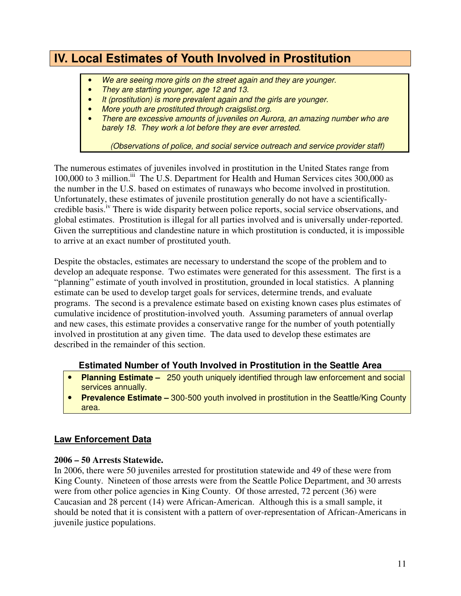# **IV. Local Estimates of Youth Involved in Prostitution**

- We are seeing more girls on the street again and they are younger.
- They are starting younger, age 12 and 13.
- It (prostitution) is more prevalent again and the girls are younger.
- More youth are prostituted through craigslist.org.
- There are excessive amounts of juveniles on Aurora, an amazing number who are barely 18. They work a lot before they are ever arrested.

(Observations of police, and social service outreach and service provider staff)

The numerous estimates of juveniles involved in prostitution in the United States range from 100,000 to 3 million.<sup>iii</sup> The U.S. Department for Health and Human Services cites 300,000 as the number in the U.S. based on estimates of runaways who become involved in prostitution. Unfortunately, these estimates of juvenile prostitution generally do not have a scientificallycredible basis.<sup>iv</sup> There is wide disparity between police reports, social service observations, and global estimates. Prostitution is illegal for all parties involved and is universally under-reported. Given the surreptitious and clandestine nature in which prostitution is conducted, it is impossible to arrive at an exact number of prostituted youth.

Despite the obstacles, estimates are necessary to understand the scope of the problem and to develop an adequate response. Two estimates were generated for this assessment. The first is a "planning" estimate of youth involved in prostitution, grounded in local statistics. A planning estimate can be used to develop target goals for services, determine trends, and evaluate programs. The second is a prevalence estimate based on existing known cases plus estimates of cumulative incidence of prostitution-involved youth. Assuming parameters of annual overlap and new cases, this estimate provides a conservative range for the number of youth potentially involved in prostitution at any given time. The data used to develop these estimates are described in the remainder of this section.

### **Estimated Number of Youth Involved in Prostitution in the Seattle Area**

- **Planning Estimate** 250 youth uniquely identified through law enforcement and social services annually.
- **Prevalence Estimate –** 300-500 youth involved in prostitution in the Seattle/King County area.

# **Law Enforcement Data**

### **2006 – 50 Arrests Statewide.**

In 2006, there were 50 juveniles arrested for prostitution statewide and 49 of these were from King County. Nineteen of those arrests were from the Seattle Police Department, and 30 arrests were from other police agencies in King County. Of those arrested, 72 percent (36) were Caucasian and 28 percent (14) were African-American. Although this is a small sample, it should be noted that it is consistent with a pattern of over-representation of African-Americans in juvenile justice populations.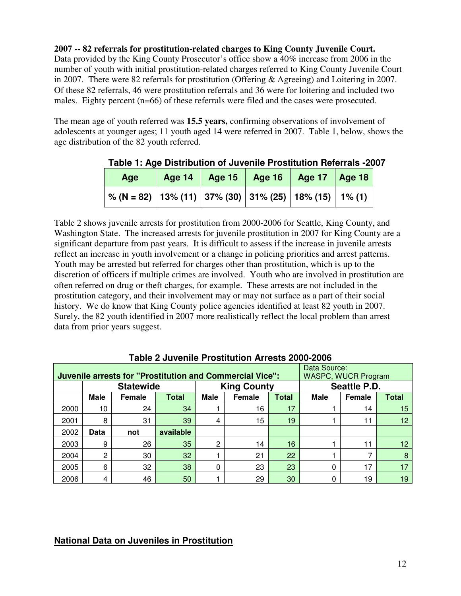**2007 -- 82 referrals for prostitution-related charges to King County Juvenile Court.** Data provided by the King County Prosecutor's office show a 40% increase from 2006 in the number of youth with initial prostitution-related charges referred to King County Juvenile Court in 2007. There were 82 referrals for prostitution (Offering & Agreeing) and Loitering in 2007. Of these 82 referrals, 46 were prostitution referrals and 36 were for loitering and included two males. Eighty percent (n=66) of these referrals were filed and the cases were prosecuted.

The mean age of youth referred was **15.5 years,** confirming observations of involvement of adolescents at younger ages; 11 youth aged 14 were referred in 2007. Table 1, below, shows the age distribution of the 82 youth referred.

| Age                                                                                             | Age 14   Age 15   Age 16   Age 17   Age 18 |  |  |
|-------------------------------------------------------------------------------------------------|--------------------------------------------|--|--|
| $\mid$ % (N = 82) $\mid$ 13% (11) $\mid$ 37% (30) $\mid$ 31% (25) $\mid$ 18% (15) $\mid$ 1% (1) |                                            |  |  |

**Table 1: Age Distribution of Juvenile Prostitution Referrals -2007** 

Table 2 shows juvenile arrests for prostitution from 2000-2006 for Seattle, King County, and Washington State. The increased arrests for juvenile prostitution in 2007 for King County are a significant departure from past years. It is difficult to assess if the increase in juvenile arrests reflect an increase in youth involvement or a change in policing priorities and arrest patterns. Youth may be arrested but referred for charges other than prostitution, which is up to the discretion of officers if multiple crimes are involved. Youth who are involved in prostitution are often referred on drug or theft charges, for example. These arrests are not included in the prostitution category, and their involvement may or may not surface as a part of their social history. We do know that King County police agencies identified at least 82 youth in 2007. Surely, the 82 youth identified in 2007 more realistically reflect the local problem than arrest data from prior years suggest.

|      |             | Juvenile arrests for "Prostitution and Commercial Vice": | Data Source: | <b>WASPC, WUCR Program</b> |                    |              |             |                     |              |  |  |  |
|------|-------------|----------------------------------------------------------|--------------|----------------------------|--------------------|--------------|-------------|---------------------|--------------|--|--|--|
|      |             | <b>Statewide</b>                                         |              |                            | <b>King County</b> |              |             | <b>Seattle P.D.</b> |              |  |  |  |
|      | <b>Male</b> | Female                                                   | <b>Total</b> | Male                       | Female             | <b>Total</b> | <b>Male</b> | Female              | <b>Total</b> |  |  |  |
| 2000 | 10          | 24                                                       | 34           |                            | 16                 | 17           |             | 14                  | 15           |  |  |  |
| 2001 | 8           | 31                                                       | 39           | 4                          | 15                 | 19           |             | 11                  | 12           |  |  |  |
| 2002 | <b>Data</b> | not                                                      | available    |                            |                    |              |             |                     |              |  |  |  |
| 2003 | 9           | 26                                                       | 35           | 2                          | 14                 | 16           |             | 11                  | 12           |  |  |  |
| 2004 | 2           | 30                                                       | 32           |                            | 21                 | 22           |             | 7                   | 8            |  |  |  |
| 2005 | 6           | 32                                                       | 38           | $\Omega$                   | 23                 | 23           | 0           | 17                  | 17           |  |  |  |
| 2006 | 4           | 46                                                       | 50           |                            | 29                 | 30           | 0           | 19                  | 19           |  |  |  |

**Table 2 Juvenile Prostitution Arrests 2000-2006** 

### **National Data on Juveniles in Prostitution**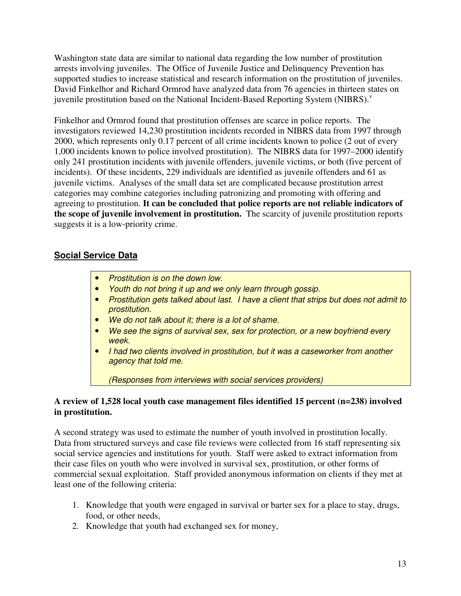Washington state data are similar to national data regarding the low number of prostitution arrests involving juveniles. The Office of Juvenile Justice and Delinquency Prevention has supported studies to increase statistical and research information on the prostitution of juveniles. David Finkelhor and Richard Ormrod have analyzed data from 76 agencies in thirteen states on juvenile prostitution based on the National Incident-Based Reporting System (NIBRS).<sup>v</sup>

Finkelhor and Ormrod found that prostitution offenses are scarce in police reports. The investigators reviewed 14,230 prostitution incidents recorded in NIBRS data from 1997 through 2000, which represents only 0.17 percent of all crime incidents known to police (2 out of every 1,000 incidents known to police involved prostitution). The NIBRS data for 1997–2000 identify only 241 prostitution incidents with juvenile offenders, juvenile victims, or both (five percent of incidents). Of these incidents, 229 individuals are identified as juvenile offenders and 61 as juvenile victims. Analyses of the small data set are complicated because prostitution arrest categories may combine categories including patronizing and promoting with offering and agreeing to prostitution. **It can be concluded that police reports are not reliable indicators of the scope of juvenile involvement in prostitution.** The scarcity of juvenile prostitution reports suggests it is a low-priority crime.

## **Social Service Data**

- Prostitution is on the down low.
- Youth do not bring it up and we only learn through gossip.
- Prostitution gets talked about last. I have a client that strips but does not admit to prostitution.
- We do not talk about it: there is a lot of shame.
- We see the signs of survival sex, sex for protection, or a new boyfriend every week.
- I had two clients involved in prostitution, but it was a caseworker from another agency that told me.

(Responses from interviews with social services providers)

### **A review of 1,528 local youth case management files identified 15 percent (n=238) involved in prostitution.**

A second strategy was used to estimate the number of youth involved in prostitution locally. Data from structured surveys and case file reviews were collected from 16 staff representing six social service agencies and institutions for youth. Staff were asked to extract information from their case files on youth who were involved in survival sex, prostitution, or other forms of commercial sexual exploitation. Staff provided anonymous information on clients if they met at least one of the following criteria:

- 1. Knowledge that youth were engaged in survival or barter sex for a place to stay, drugs, food, or other needs,
- 2. Knowledge that youth had exchanged sex for money,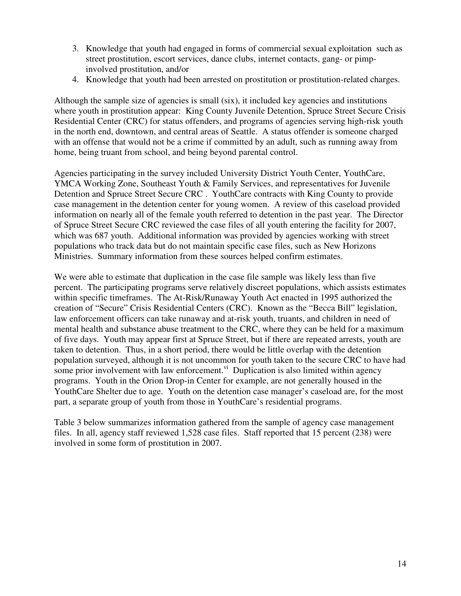- 3. Knowledge that youth had engaged in forms of commercial sexual exploitation such as street prostitution, escort services, dance clubs, internet contacts, gang- or pimpinvolved prostitution, and/or
- 4. Knowledge that youth had been arrested on prostitution or prostitution-related charges.

Although the sample size of agencies is small (six), it included key agencies and institutions where youth in prostitution appear: King County Juvenile Detention, Spruce Street Secure Crisis Residential Center (CRC) for status offenders, and programs of agencies serving high-risk youth in the north end, downtown, and central areas of Seattle. A status offender is someone charged with an offense that would not be a crime if committed by an adult, such as running away from home, being truant from school, and being beyond parental control.

Agencies participating in the survey included University District Youth Center, YouthCare, YMCA Working Zone, Southeast Youth & Family Services, and representatives for Juvenile Detention and Spruce Street Secure CRC . YouthCare contracts with King County to provide case management in the detention center for young women. A review of this caseload provided information on nearly all of the female youth referred to detention in the past year. The Director of Spruce Street Secure CRC reviewed the case files of all youth entering the facility for 2007, which was 687 youth. Additional information was provided by agencies working with street populations who track data but do not maintain specific case files, such as New Horizons Ministries. Summary information from these sources helped confirm estimates.

We were able to estimate that duplication in the case file sample was likely less than five percent. The participating programs serve relatively discreet populations, which assists estimates within specific timeframes. The At-Risk/Runaway Youth Act enacted in 1995 authorized the creation of "Secure" Crisis Residential Centers (CRC). Known as the "Becca Bill" legislation, law enforcement officers can take runaway and at-risk youth, truants, and children in need of mental health and substance abuse treatment to the CRC, where they can be held for a maximum of five days. Youth may appear first at Spruce Street, but if there are repeated arrests, youth are taken to detention. Thus, in a short period, there would be little overlap with the detention population surveyed, although it is not uncommon for youth taken to the secure CRC to have had some prior involvement with law enforcement. $\overline{v}$  Duplication is also limited within agency programs. Youth in the Orion Drop-in Center for example, are not generally housed in the YouthCare Shelter due to age. Youth on the detention case manager's caseload are, for the most part, a separate group of youth from those in YouthCare's residential programs.

Table 3 below summarizes information gathered from the sample of agency case management files. In all, agency staff reviewed 1,528 case files. Staff reported that 15 percent (238) were involved in some form of prostitution in 2007.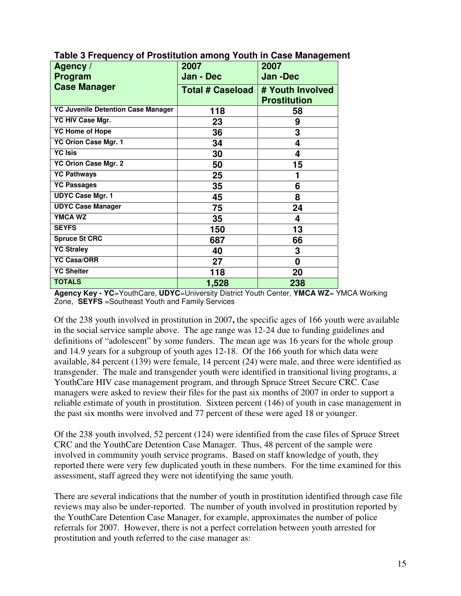| Agency /                                  | 2007                    | 2007                |
|-------------------------------------------|-------------------------|---------------------|
| Program                                   | Jan - Dec               | <b>Jan-Dec</b>      |
| <b>Case Manager</b>                       | <b>Total # Caseload</b> | # Youth Involved    |
|                                           |                         | <b>Prostitution</b> |
| <b>YC Juvenile Detention Case Manager</b> | 118                     | 58                  |
| YC HIV Case Mgr.                          | 23                      | 9                   |
| <b>YC Home of Hope</b>                    | 36                      | 3                   |
| <b>YC Orion Case Mgr. 1</b>               | 34                      | 4                   |
| <b>YC Isis</b>                            | 30                      | 4                   |
| <b>YC Orion Case Mgr. 2</b>               | 50                      | 15                  |
| <b>YC Pathways</b>                        | 25                      |                     |
| <b>YC Passages</b>                        | 35                      | 6                   |
| <b>UDYC Case Mgr. 1</b>                   | 45                      | 8                   |
| <b>UDYC Case Manager</b>                  | 75                      | 24                  |
| <b>YMCA WZ</b>                            | 35                      | 4                   |
| <b>SEYFS</b>                              | 150                     | 13                  |
| <b>Spruce St CRC</b>                      | 687                     | 66                  |
| <b>YC Straley</b>                         | 40                      | 3                   |
| <b>YC Casa/ORR</b>                        | 27                      | 0                   |
| <b>YC Shelter</b>                         | 118                     | 20                  |
| <b>TOTALS</b>                             | 1,528                   | 238                 |

**Table 3 Frequency of Prostitution among Youth in Case Management** 

**Agency Key - YC**=YouthCare, **UDYC**=University District Youth Center, **YMCA WZ**= YMCA Working Zone, **SEYFS** =Southeast Youth and Family Services

Of the 238 youth involved in prostitution in 2007**,** the specific ages of 166 youth were available in the social service sample above. The age range was 12-24 due to funding guidelines and definitions of "adolescent" by some funders. The mean age was 16 years for the whole group and 14.9 years for a subgroup of youth ages 12-18. Of the 166 youth for which data were available, 84 percent (139) were female, 14 percent (24) were male, and three were identified as transgender. The male and transgender youth were identified in transitional living programs, a YouthCare HIV case management program, and through Spruce Street Secure CRC. Case managers were asked to review their files for the past six months of 2007 in order to support a reliable estimate of youth in prostitution. Sixteen percent (146) of youth in case management in the past six months were involved and 77 percent of these were aged 18 or younger.

Of the 238 youth involved, 52 percent (124) were identified from the case files of Spruce Street CRC and the YouthCare Detention Case Manager. Thus, 48 percent of the sample were involved in community youth service programs. Based on staff knowledge of youth, they reported there were very few duplicated youth in these numbers. For the time examined for this assessment, staff agreed they were not identifying the same youth.

There are several indications that the number of youth in prostitution identified through case file reviews may also be under-reported. The number of youth involved in prostitution reported by the YouthCare Detention Case Manager, for example, approximates the number of police referrals for 2007. However, there is not a perfect correlation between youth arrested for prostitution and youth referred to the case manager as: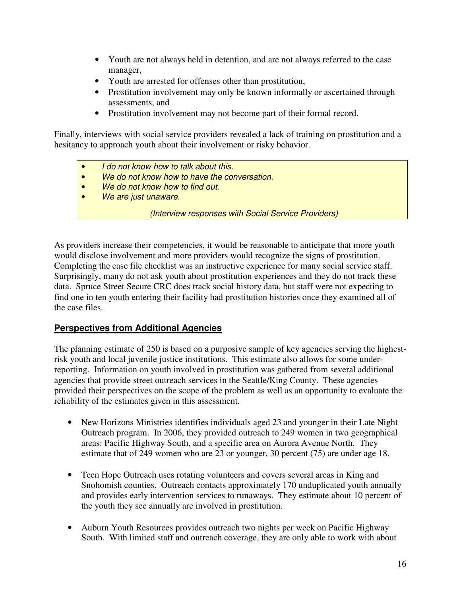- Youth are not always held in detention, and are not always referred to the case manager,
- Youth are arrested for offenses other than prostitution,
- Prostitution involvement may only be known informally or ascertained through assessments, and
- Prostitution involvement may not become part of their formal record.

Finally, interviews with social service providers revealed a lack of training on prostitution and a hesitancy to approach youth about their involvement or risky behavior.

- I do not know how to talk about this.
- We do not know how to have the conversation.
- We do not know how to find out.
- We are just unaware.
	- (Interview responses with Social Service Providers)

As providers increase their competencies, it would be reasonable to anticipate that more youth would disclose involvement and more providers would recognize the signs of prostitution. Completing the case file checklist was an instructive experience for many social service staff. Surprisingly, many do not ask youth about prostitution experiences and they do not track these data. Spruce Street Secure CRC does track social history data, but staff were not expecting to find one in ten youth entering their facility had prostitution histories once they examined all of the case files.

# **Perspectives from Additional Agencies**

The planning estimate of 250 is based on a purposive sample of key agencies serving the highestrisk youth and local juvenile justice institutions. This estimate also allows for some underreporting. Information on youth involved in prostitution was gathered from several additional agencies that provide street outreach services in the Seattle/King County. These agencies provided their perspectives on the scope of the problem as well as an opportunity to evaluate the reliability of the estimates given in this assessment.

- New Horizons Ministries identifies individuals aged 23 and younger in their Late Night Outreach program. In 2006, they provided outreach to 249 women in two geographical areas: Pacific Highway South, and a specific area on Aurora Avenue North. They estimate that of 249 women who are 23 or younger, 30 percent (75) are under age 18.
- Teen Hope Outreach uses rotating volunteers and covers several areas in King and Snohomish counties. Outreach contacts approximately 170 unduplicated youth annually and provides early intervention services to runaways. They estimate about 10 percent of the youth they see annually are involved in prostitution.
- Auburn Youth Resources provides outreach two nights per week on Pacific Highway South. With limited staff and outreach coverage, they are only able to work with about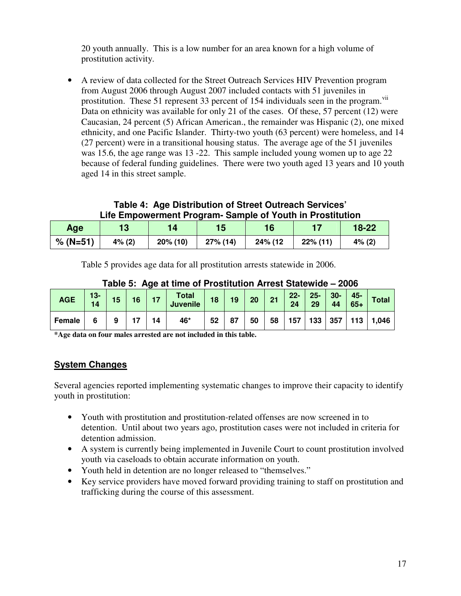20 youth annually. This is a low number for an area known for a high volume of prostitution activity.

• A review of data collected for the Street Outreach Services HIV Prevention program from August 2006 through August 2007 included contacts with 51 juveniles in prostitution. These 51 represent 33 percent of 154 individuals seen in the program.<sup>vii</sup> Data on ethnicity was available for only 21 of the cases. Of these, 57 percent (12) were Caucasian, 24 percent (5) African American., the remainder was Hispanic (2), one mixed ethnicity, and one Pacific Islander. Thirty-two youth (63 percent) were homeless, and 14 (27 percent) were in a transitional housing status. The average age of the 51 juveniles was 15.6, the age range was 13 -22. This sample included young women up to age 22 because of federal funding guidelines. There were two youth aged 13 years and 10 youth aged 14 in this street sample.

**Table 4: Age Distribution of Street Outreach Services' Life Empowerment Program- Sample of Youth in Prostitution** 

| Age        | 13     | 14       | 15          | 16      |             | 18-22  |
|------------|--------|----------|-------------|---------|-------------|--------|
| $% (N=51)$ | 4% (2) | 20% (10) | $27\%$ (14) | 24% (12 | $22\%$ (11) | 4% (2) |

Table 5 provides age data for all prostitution arrests statewide in 2006.

| <b>AGE</b> | $13-$<br>14 | 15 | 16 | 17 | <b>Total</b><br><b>Juvenile</b> | 18 | 19 | 20 | 21 | $22 -$<br>24 | $25 -$<br>29 | $30-$<br>44 | 45-<br>$65+$ | <b>Total</b> |
|------------|-------------|----|----|----|---------------------------------|----|----|----|----|--------------|--------------|-------------|--------------|--------------|
| Female     |             | 9  |    | 14 | 46*                             | 52 | 87 | 50 | 58 | 157          | 133          | 357         | 113          | 1,046        |

**Table 5: Age at time of Prostitution Arrest Statewide – 2006** 

**\*Age data on four males arrested are not included in this table.**

# **System Changes**

Several agencies reported implementing systematic changes to improve their capacity to identify youth in prostitution:

- Youth with prostitution and prostitution-related offenses are now screened in to detention. Until about two years ago, prostitution cases were not included in criteria for detention admission.
- A system is currently being implemented in Juvenile Court to count prostitution involved youth via caseloads to obtain accurate information on youth.
- Youth held in detention are no longer released to "themselves."
- Key service providers have moved forward providing training to staff on prostitution and trafficking during the course of this assessment.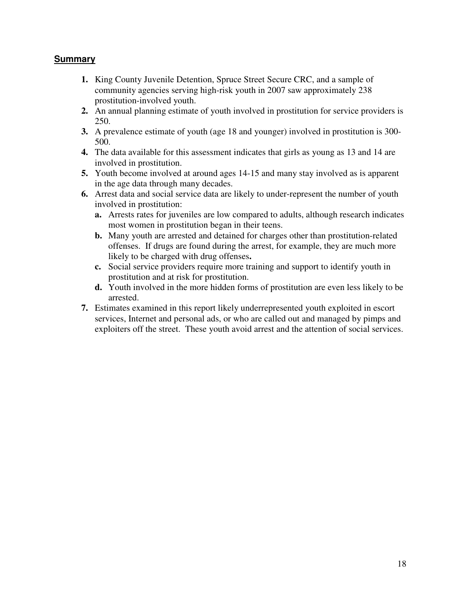# **Summary**

- **1.** King County Juvenile Detention, Spruce Street Secure CRC, and a sample of community agencies serving high-risk youth in 2007 saw approximately 238 prostitution-involved youth.
- **2.** An annual planning estimate of youth involved in prostitution for service providers is 250.
- **3.** A prevalence estimate of youth (age 18 and younger) involved in prostitution is 300- 500.
- **4.** The data available for this assessment indicates that girls as young as 13 and 14 are involved in prostitution.
- **5.** Youth become involved at around ages 14-15 and many stay involved as is apparent in the age data through many decades.
- **6.** Arrest data and social service data are likely to under-represent the number of youth involved in prostitution:
	- **a.** Arrests rates for juveniles are low compared to adults, although research indicates most women in prostitution began in their teens.
	- **b.** Many youth are arrested and detained for charges other than prostitution-related offenses. If drugs are found during the arrest, for example, they are much more likely to be charged with drug offenses**.**
	- **c.** Social service providers require more training and support to identify youth in prostitution and at risk for prostitution.
	- **d.** Youth involved in the more hidden forms of prostitution are even less likely to be arrested.
- **7.** Estimates examined in this report likely underrepresented youth exploited in escort services, Internet and personal ads, or who are called out and managed by pimps and exploiters off the street. These youth avoid arrest and the attention of social services.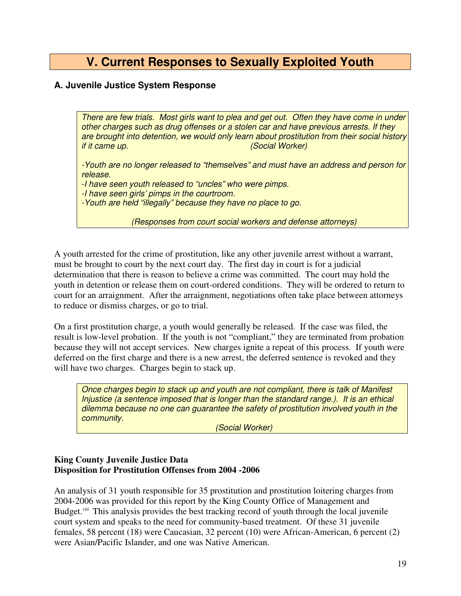# **V. Current Responses to Sexually Exploited Youth**

### **A. Juvenile Justice System Response**

There are few trials. Most girls want to plea and get out. Often they have come in under other charges such as drug offenses or a stolen car and have previous arrests. If they are brought into detention, we would only learn about prostitution from their social history if it came up. (Social Worker)

-Youth are no longer released to "themselves" and must have an address and person for release.

-I have seen youth released to "uncles" who were pimps.

-I have seen girls' pimps in the courtroom.

-Youth are held "illegally" because they have no place to go.

(Responses from court social workers and defense attorneys)

A youth arrested for the crime of prostitution, like any other juvenile arrest without a warrant, must be brought to court by the next court day. The first day in court is for a judicial determination that there is reason to believe a crime was committed. The court may hold the youth in detention or release them on court-ordered conditions. They will be ordered to return to court for an arraignment. After the arraignment, negotiations often take place between attorneys to reduce or dismiss charges, or go to trial.

On a first prostitution charge, a youth would generally be released. If the case was filed, the result is low-level probation. If the youth is not "compliant," they are terminated from probation because they will not accept services. New charges ignite a repeat of this process. If youth were deferred on the first charge and there is a new arrest, the deferred sentence is revoked and they will have two charges. Charges begin to stack up.

Once charges begin to stack up and youth are not compliant, there is talk of Manifest Injustice (a sentence imposed that is longer than the standard range.). It is an ethical dilemma because no one can guarantee the safety of prostitution involved youth in the community.

(Social Worker)

### **King County Juvenile Justice Data Disposition for Prostitution Offenses from 2004 -2006**

An analysis of 31 youth responsible for 35 prostitution and prostitution loitering charges from 2004-2006 was provided for this report by the King County Office of Management and Budget.<sup>viii</sup> This analysis provides the best tracking record of youth through the local juvenile court system and speaks to the need for community-based treatment. Of these 31 juvenile females, 58 percent (18) were Caucasian, 32 percent (10) were African-American, 6 percent (2) were Asian/Pacific Islander, and one was Native American.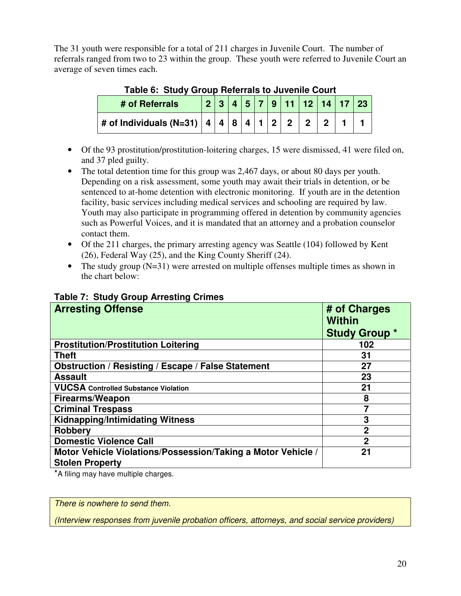The 31 youth were responsible for a total of 211 charges in Juvenile Court. The number of referrals ranged from two to 23 within the group. These youth were referred to Juvenile Court an average of seven times each.

| Table 6: Study Group Referrals to Juvenile Court |  |  |  |  |  |  |  |  |  |                            |  |
|--------------------------------------------------|--|--|--|--|--|--|--|--|--|----------------------------|--|
| # of Referrals                                   |  |  |  |  |  |  |  |  |  | 2 3 4 5 7 9 11 12 14 17 23 |  |
| # of Individuals (N=31) $ 4 4 8 4 1 2 2 $        |  |  |  |  |  |  |  |  |  |                            |  |

**Table 6: Study Group Referrals to Juvenile Court** 

- Of the 93 prostitution/prostitution-loitering charges, 15 were dismissed, 41 were filed on, and 37 pled guilty.
- The total detention time for this group was 2,467 days, or about 80 days per youth. Depending on a risk assessment, some youth may await their trials in detention, or be sentenced to at-home detention with electronic monitoring. If youth are in the detention facility, basic services including medical services and schooling are required by law. Youth may also participate in programming offered in detention by community agencies such as Powerful Voices, and it is mandated that an attorney and a probation counselor contact them.
- Of the 211 charges, the primary arresting agency was Seattle (104) followed by Kent (26), Federal Way (25), and the King County Sheriff (24).
- The study group  $(N=31)$  were arrested on multiple offenses multiple times as shown in the chart below:

| <b>Arresting Offense</b>                                                               | # of Charges<br><b>Within</b> |
|----------------------------------------------------------------------------------------|-------------------------------|
|                                                                                        | <b>Study Group *</b>          |
| <b>Prostitution/Prostitution Loitering</b>                                             | 102                           |
| <b>Theft</b>                                                                           | 31                            |
| <b>Obstruction / Resisting / Escape / False Statement</b>                              | 27                            |
| <b>Assault</b>                                                                         | 23                            |
| <b>VUCSA Controlled Substance Violation</b>                                            | 21                            |
| Firearms/Weapon                                                                        | 8                             |
| <b>Criminal Trespass</b>                                                               |                               |
| <b>Kidnapping/Intimidating Witness</b>                                                 | 3                             |
| <b>Robbery</b>                                                                         | $\overline{2}$                |
| <b>Domestic Violence Call</b>                                                          | $\overline{2}$                |
| Motor Vehicle Violations/Possession/Taking a Motor Vehicle /<br><b>Stolen Property</b> | 21                            |

# **Table 7: Study Group Arresting Crimes**

\*A filing may have multiple charges.

There is nowhere to send them.

(Interview responses from juvenile probation officers, attorneys, and social service providers)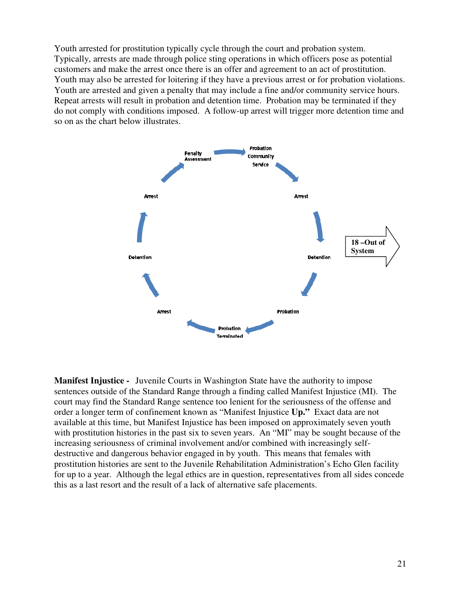Youth arrested for prostitution typically cycle through the court and probation system. Typically, arrests are made through police sting operations in which officers pose as potential customers and make the arrest once there is an offer and agreement to an act of prostitution. Youth may also be arrested for loitering if they have a previous arrest or for probation violations. Youth are arrested and given a penalty that may include a fine and/or community service hours. Repeat arrests will result in probation and detention time. Probation may be terminated if they do not comply with conditions imposed. A follow-up arrest will trigger more detention time and so on as the chart below illustrates.



**Manifest Injustice -** Juvenile Courts in Washington State have the authority to impose sentences outside of the Standard Range through a finding called Manifest Injustice (MI). The court may find the Standard Range sentence too lenient for the seriousness of the offense and order a longer term of confinement known as "Manifest Injustice **Up."** Exact data are not available at this time, but Manifest Injustice has been imposed on approximately seven youth with prostitution histories in the past six to seven years. An "MI" may be sought because of the increasing seriousness of criminal involvement and/or combined with increasingly selfdestructive and dangerous behavior engaged in by youth. This means that females with prostitution histories are sent to the Juvenile Rehabilitation Administration's Echo Glen facility for up to a year. Although the legal ethics are in question, representatives from all sides concede this as a last resort and the result of a lack of alternative safe placements.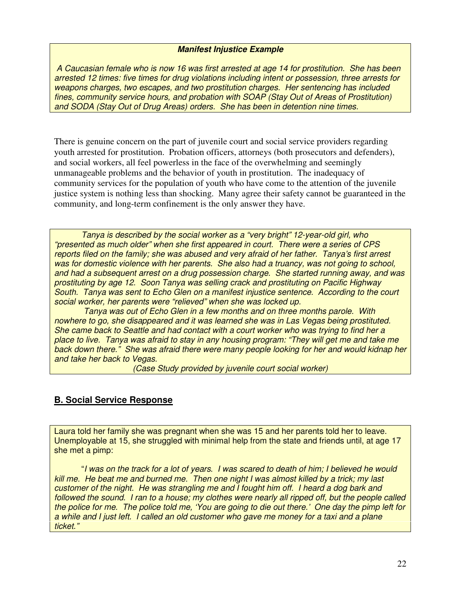#### **Manifest Injustice Example**

 A Caucasian female who is now 16 was first arrested at age 14 for prostitution. She has been arrested 12 times: five times for drug violations including intent or possession, three arrests for weapons charges, two escapes, and two prostitution charges. Her sentencing has included fines, community service hours, and probation with SOAP (Stay Out of Areas of Prostitution) and SODA (Stay Out of Drug Areas) orders. She has been in detention nine times.

There is genuine concern on the part of juvenile court and social service providers regarding youth arrested for prostitution. Probation officers, attorneys (both prosecutors and defenders), and social workers, all feel powerless in the face of the overwhelming and seemingly unmanageable problems and the behavior of youth in prostitution. The inadequacy of community services for the population of youth who have come to the attention of the juvenile justice system is nothing less than shocking. Many agree their safety cannot be guaranteed in the community, and long-term confinement is the only answer they have.

 Tanya is described by the social worker as a "very bright" 12-year-old girl, who "presented as much older" when she first appeared in court. There were a series of CPS reports filed on the family; she was abused and very afraid of her father. Tanya's first arrest was for domestic violence with her parents. She also had a truancy, was not going to school, and had a subsequent arrest on a drug possession charge. She started running away, and was prostituting by age 12. Soon Tanya was selling crack and prostituting on Pacific Highway South. Tanya was sent to Echo Glen on a manifest injustice sentence. According to the court social worker, her parents were "relieved" when she was locked up.

 Tanya was out of Echo Glen in a few months and on three months parole. With nowhere to go, she disappeared and it was learned she was in Las Vegas being prostituted. She came back to Seattle and had contact with a court worker who was trying to find her a place to live. Tanya was afraid to stay in any housing program: "They will get me and take me back down there." She was afraid there were many people looking for her and would kidnap her and take her back to Vegas.

(Case Study provided by juvenile court social worker)

# **B. Social Service Response**

Laura told her family she was pregnant when she was 15 and her parents told her to leave. Unemployable at 15, she struggled with minimal help from the state and friends until, at age 17 she met a pimp:

 "I was on the track for a lot of years. I was scared to death of him; I believed he would kill me. He beat me and burned me. Then one night I was almost killed by a trick; my last customer of the night. He was strangling me and I fought him off. I heard a dog bark and followed the sound. I ran to a house; my clothes were nearly all ripped off, but the people called the police for me. The police told me, 'You are going to die out there.' One day the pimp left for a while and I just left. I called an old customer who gave me money for a taxi and a plane ticket."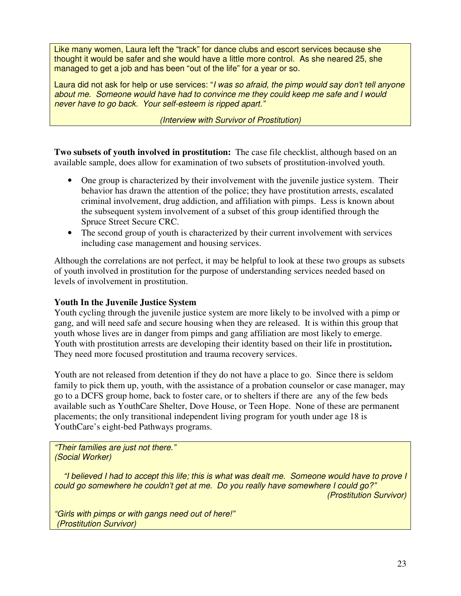Like many women, Laura left the "track" for dance clubs and escort services because she thought it would be safer and she would have a little more control. As she neared 25, she managed to get a job and has been "out of the life" for a year or so.

Laura did not ask for help or use services: "I was so afraid, the pimp would say don't tell anyone about me. Someone would have had to convince me they could keep me safe and I would never have to go back. Your self-esteem is ripped apart."

(Interview with Survivor of Prostitution)

**Two subsets of youth involved in prostitution:** The case file checklist, although based on an available sample, does allow for examination of two subsets of prostitution-involved youth.

- One group is characterized by their involvement with the juvenile justice system. Their behavior has drawn the attention of the police; they have prostitution arrests, escalated criminal involvement, drug addiction, and affiliation with pimps. Less is known about the subsequent system involvement of a subset of this group identified through the Spruce Street Secure CRC.
- The second group of youth is characterized by their current involvement with services including case management and housing services.

Although the correlations are not perfect, it may be helpful to look at these two groups as subsets of youth involved in prostitution for the purpose of understanding services needed based on levels of involvement in prostitution.

## **Youth In the Juvenile Justice System**

Youth cycling through the juvenile justice system are more likely to be involved with a pimp or gang, and will need safe and secure housing when they are released. It is within this group that youth whose lives are in danger from pimps and gang affiliation are most likely to emerge. Youth with prostitution arrests are developing their identity based on their life in prostitution**.**  They need more focused prostitution and trauma recovery services.

Youth are not released from detention if they do not have a place to go. Since there is seldom family to pick them up, youth, with the assistance of a probation counselor or case manager, may go to a DCFS group home, back to foster care, or to shelters if there are any of the few beds available such as YouthCare Shelter, Dove House, or Teen Hope. None of these are permanent placements; the only transitional independent living program for youth under age 18 is YouthCare's eight-bed Pathways programs.

"Their families are just not there." (Social Worker)

"I believed I had to accept this life; this is what was dealt me. Someone would have to prove I could go somewhere he couldn't get at me. Do you really have somewhere I could go?" (Prostitution Survivor)

"Girls with pimps or with gangs need out of here!" (Prostitution Survivor)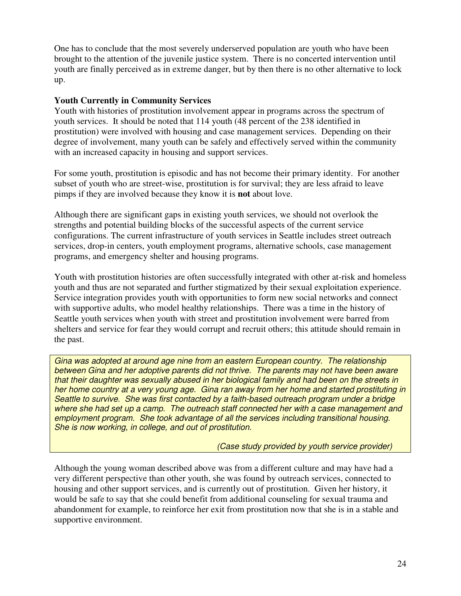One has to conclude that the most severely underserved population are youth who have been brought to the attention of the juvenile justice system. There is no concerted intervention until youth are finally perceived as in extreme danger, but by then there is no other alternative to lock up.

### **Youth Currently in Community Services**

Youth with histories of prostitution involvement appear in programs across the spectrum of youth services. It should be noted that 114 youth (48 percent of the 238 identified in prostitution) were involved with housing and case management services. Depending on their degree of involvement, many youth can be safely and effectively served within the community with an increased capacity in housing and support services.

For some youth, prostitution is episodic and has not become their primary identity. For another subset of youth who are street-wise, prostitution is for survival; they are less afraid to leave pimps if they are involved because they know it is **not** about love.

Although there are significant gaps in existing youth services, we should not overlook the strengths and potential building blocks of the successful aspects of the current service configurations. The current infrastructure of youth services in Seattle includes street outreach services, drop-in centers, youth employment programs, alternative schools, case management programs, and emergency shelter and housing programs.

Youth with prostitution histories are often successfully integrated with other at-risk and homeless youth and thus are not separated and further stigmatized by their sexual exploitation experience. Service integration provides youth with opportunities to form new social networks and connect with supportive adults, who model healthy relationships. There was a time in the history of Seattle youth services when youth with street and prostitution involvement were barred from shelters and service for fear they would corrupt and recruit others; this attitude should remain in the past.

Gina was adopted at around age nine from an eastern European country. The relationship between Gina and her adoptive parents did not thrive. The parents may not have been aware that their daughter was sexually abused in her biological family and had been on the streets in her home country at a very young age. Gina ran away from her home and started prostituting in Seattle to survive. She was first contacted by a faith-based outreach program under a bridge where she had set up a camp. The outreach staff connected her with a case management and employment program. She took advantage of all the services including transitional housing. She is now working, in college, and out of prostitution.

(Case study provided by youth service provider)

Although the young woman described above was from a different culture and may have had a very different perspective than other youth, she was found by outreach services, connected to housing and other support services, and is currently out of prostitution. Given her history, it would be safe to say that she could benefit from additional counseling for sexual trauma and abandonment for example, to reinforce her exit from prostitution now that she is in a stable and supportive environment.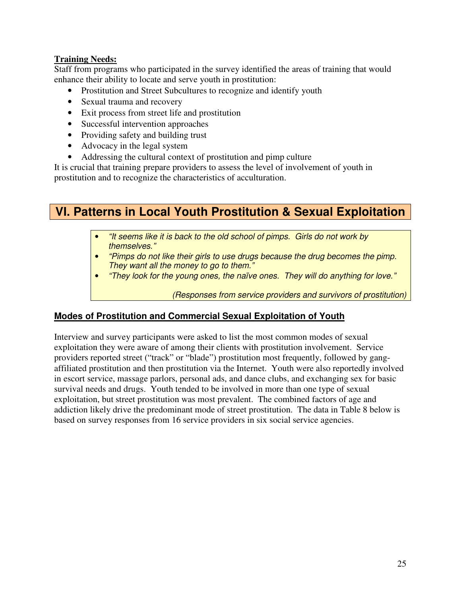## **Training Needs:**

Staff from programs who participated in the survey identified the areas of training that would enhance their ability to locate and serve youth in prostitution:

- Prostitution and Street Subcultures to recognize and identify youth
- Sexual trauma and recovery
- Exit process from street life and prostitution
- Successful intervention approaches
- Providing safety and building trust
- Advocacy in the legal system
- Addressing the cultural context of prostitution and pimp culture

It is crucial that training prepare providers to assess the level of involvement of youth in prostitution and to recognize the characteristics of acculturation.

# **VI. Patterns in Local Youth Prostitution & Sexual Exploitation**

- "It seems like it is back to the old school of pimps. Girls do not work by themselves."
- "Pimps do not like their girls to use drugs because the drug becomes the pimp. They want all the money to go to them."
- "They look for the young ones, the naïve ones. They will do anything for love."

(Responses from service providers and survivors of prostitution)

# **Modes of Prostitution and Commercial Sexual Exploitation of Youth**

Interview and survey participants were asked to list the most common modes of sexual exploitation they were aware of among their clients with prostitution involvement. Service providers reported street ("track" or "blade") prostitution most frequently, followed by gangaffiliated prostitution and then prostitution via the Internet. Youth were also reportedly involved in escort service, massage parlors, personal ads, and dance clubs, and exchanging sex for basic survival needs and drugs. Youth tended to be involved in more than one type of sexual exploitation, but street prostitution was most prevalent. The combined factors of age and addiction likely drive the predominant mode of street prostitution. The data in Table 8 below is based on survey responses from 16 service providers in six social service agencies.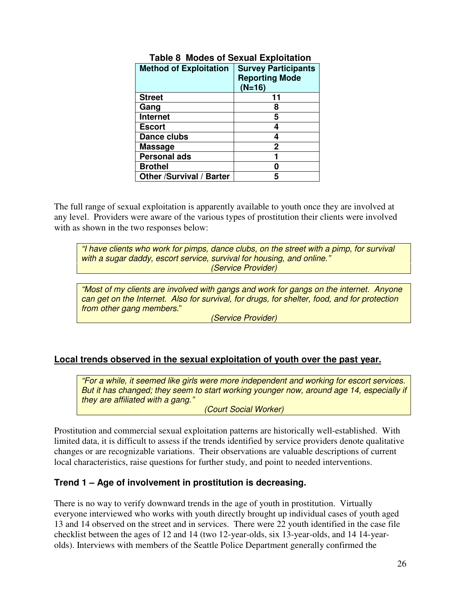| <b>Method of Exploitation</b>   | <b>Survey Participants</b><br><b>Reporting Mode</b><br>$(N=16)$ |
|---------------------------------|-----------------------------------------------------------------|
| <b>Street</b>                   | 11                                                              |
| Gang                            | 8                                                               |
| <b>Internet</b>                 | 5                                                               |
| <b>Escort</b>                   | Δ                                                               |
| Dance clubs                     | 4                                                               |
| <b>Massage</b>                  | 2                                                               |
| <b>Personal ads</b>             |                                                                 |
| <b>Brothel</b>                  |                                                                 |
| <b>Other /Survival / Barter</b> | 5                                                               |

## **Table 8 Modes of Sexual Exploitation**

The full range of sexual exploitation is apparently available to youth once they are involved at any level. Providers were aware of the various types of prostitution their clients were involved with as shown in the two responses below:

"I have clients who work for pimps, dance clubs, on the street with a pimp, for survival with a sugar daddy, escort service, survival for housing, and online." (Service Provider)

"Most of my clients are involved with gangs and work for gangs on the internet. Anyone can get on the Internet. Also for survival, for drugs, for shelter, food, and for protection from other gang members."

(Service Provider)

### **Local trends observed in the sexual exploitation of youth over the past year.**

"For a while, it seemed like girls were more independent and working for escort services. But it has changed; they seem to start working younger now, around age 14, especially if they are affiliated with a gang."

(Court Social Worker)

Prostitution and commercial sexual exploitation patterns are historically well-established. With limited data, it is difficult to assess if the trends identified by service providers denote qualitative changes or are recognizable variations. Their observations are valuable descriptions of current local characteristics, raise questions for further study, and point to needed interventions.

### **Trend 1 – Age of involvement in prostitution is decreasing.**

There is no way to verify downward trends in the age of youth in prostitution. Virtually everyone interviewed who works with youth directly brought up individual cases of youth aged 13 and 14 observed on the street and in services. There were 22 youth identified in the case file checklist between the ages of 12 and 14 (two 12-year-olds, six 13-year-olds, and 14 14-yearolds). Interviews with members of the Seattle Police Department generally confirmed the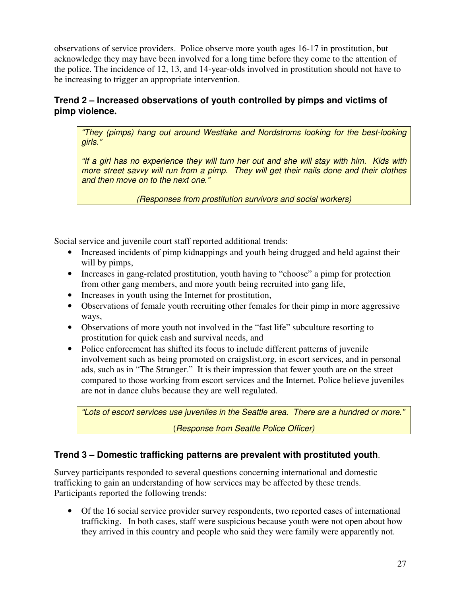observations of service providers. Police observe more youth ages 16-17 in prostitution, but acknowledge they may have been involved for a long time before they come to the attention of the police. The incidence of 12, 13, and 14-year-olds involved in prostitution should not have to be increasing to trigger an appropriate intervention.

# **Trend 2 – Increased observations of youth controlled by pimps and victims of pimp violence.**

"They (pimps) hang out around Westlake and Nordstroms looking for the best-looking girls."

"If a girl has no experience they will turn her out and she will stay with him. Kids with more street savvy will run from a pimp. They will get their nails done and their clothes and then move on to the next one."

(Responses from prostitution survivors and social workers)

Social service and juvenile court staff reported additional trends:

- Increased incidents of pimp kidnappings and youth being drugged and held against their will by pimps,
- Increases in gang-related prostitution, youth having to "choose" a pimp for protection from other gang members, and more youth being recruited into gang life,
- Increases in youth using the Internet for prostitution,
- Observations of female youth recruiting other females for their pimp in more aggressive ways,
- Observations of more youth not involved in the "fast life" subculture resorting to prostitution for quick cash and survival needs, and
- Police enforcement has shifted its focus to include different patterns of juvenile involvement such as being promoted on craigslist.org, in escort services, and in personal ads, such as in "The Stranger." It is their impression that fewer youth are on the street compared to those working from escort services and the Internet. Police believe juveniles are not in dance clubs because they are well regulated.

"Lots of escort services use juveniles in the Seattle area. There are a hundred or more." (Response from Seattle Police Officer)

# **Trend 3 – Domestic trafficking patterns are prevalent with prostituted youth**.

Survey participants responded to several questions concerning international and domestic trafficking to gain an understanding of how services may be affected by these trends. Participants reported the following trends:

• Of the 16 social service provider survey respondents, two reported cases of international trafficking. In both cases, staff were suspicious because youth were not open about how they arrived in this country and people who said they were family were apparently not.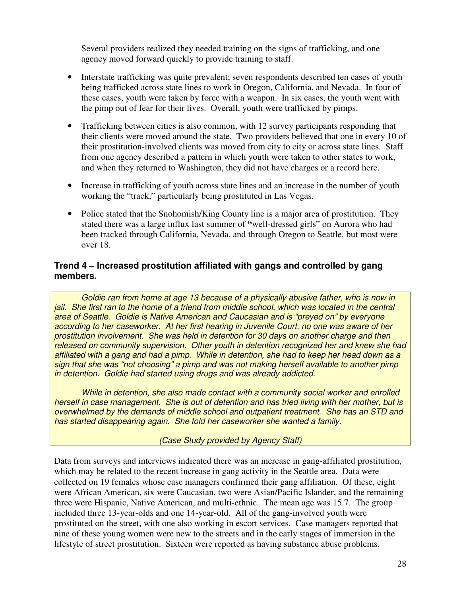Several providers realized they needed training on the signs of trafficking, and one agency moved forward quickly to provide training to staff.

- Interstate trafficking was quite prevalent; seven respondents described ten cases of youth being trafficked across state lines to work in Oregon, California, and Nevada. In four of these cases, youth were taken by force with a weapon. In six cases, the youth went with the pimp out of fear for their lives. Overall, youth were trafficked by pimps.
- Trafficking between cities is also common, with 12 survey participants responding that their clients were moved around the state. Two providers believed that one in every 10 of their prostitution-involved clients was moved from city to city or across state lines. Staff from one agency described a pattern in which youth were taken to other states to work, and when they returned to Washington, they did not have charges or a record here.
- Increase in trafficking of youth across state lines and an increase in the number of youth working the "track," particularly being prostituted in Las Vegas.
- Police stated that the Snohomish/King County line is a major area of prostitution. They stated there was a large influx last summer of **"**well-dressed girls" on Aurora who had been tracked through California, Nevada, and through Oregon to Seattle, but most were over 18.

## **Trend 4 – Increased prostitution affiliated with gangs and controlled by gang members.**

Goldie ran from home at age 13 because of a physically abusive father, who is now in jail. She first ran to the home of a friend from middle school, which was located in the central area of Seattle. Goldie is Native American and Caucasian and is "preyed on" by everyone according to her caseworker. At her first hearing in Juvenile Court, no one was aware of her prostitution involvement. She was held in detention for 30 days on another charge and then released on community supervision. Other youth in detention recognized her and knew she had affiliated with a gang and had a pimp. While in detention, she had to keep her head down as a sign that she was "not choosing" a pimp and was not making herself available to another pimp in detention. Goldie had started using drugs and was already addicted.

 While in detention, she also made contact with a community social worker and enrolled herself in case management. She is out of detention and has tried living with her mother, but is overwhelmed by the demands of middle school and outpatient treatment. She has an STD and has started disappearing again. She told her caseworker she wanted a family.

(Case Study provided by Agency Staff)

Data from surveys and interviews indicated there was an increase in gang-affiliated prostitution, which may be related to the recent increase in gang activity in the Seattle area. Data were collected on 19 females whose case managers confirmed their gang affiliation. Of these, eight were African American, six were Caucasian, two were Asian/Pacific Islander, and the remaining three were Hispanic, Native American, and multi-ethnic. The mean age was 15.7. The group included three 13-year-olds and one 14-year-old. All of the gang-involved youth were prostituted on the street, with one also working in escort services. Case managers reported that nine of these young women were new to the streets and in the early stages of immersion in the lifestyle of street prostitution. Sixteen were reported as having substance abuse problems.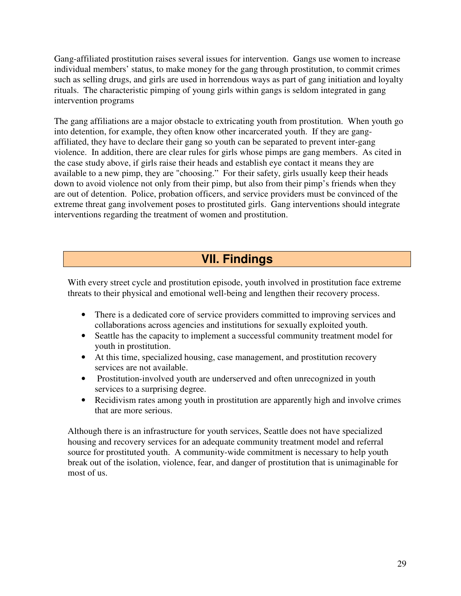Gang-affiliated prostitution raises several issues for intervention. Gangs use women to increase individual members' status, to make money for the gang through prostitution, to commit crimes such as selling drugs, and girls are used in horrendous ways as part of gang initiation and loyalty rituals. The characteristic pimping of young girls within gangs is seldom integrated in gang intervention programs

The gang affiliations are a major obstacle to extricating youth from prostitution. When youth go into detention, for example, they often know other incarcerated youth. If they are gangaffiliated, they have to declare their gang so youth can be separated to prevent inter-gang violence. In addition, there are clear rules for girls whose pimps are gang members. As cited in the case study above, if girls raise their heads and establish eye contact it means they are available to a new pimp, they are "choosing." For their safety, girls usually keep their heads down to avoid violence not only from their pimp, but also from their pimp's friends when they are out of detention. Police, probation officers, and service providers must be convinced of the extreme threat gang involvement poses to prostituted girls. Gang interventions should integrate interventions regarding the treatment of women and prostitution.

# **VII. Findings**

With every street cycle and prostitution episode, youth involved in prostitution face extreme threats to their physical and emotional well-being and lengthen their recovery process.

- There is a dedicated core of service providers committed to improving services and collaborations across agencies and institutions for sexually exploited youth.
- Seattle has the capacity to implement a successful community treatment model for youth in prostitution.
- At this time, specialized housing, case management, and prostitution recovery services are not available.
- Prostitution-involved youth are underserved and often unrecognized in youth services to a surprising degree.
- Recidivism rates among youth in prostitution are apparently high and involve crimes that are more serious.

Although there is an infrastructure for youth services, Seattle does not have specialized housing and recovery services for an adequate community treatment model and referral source for prostituted youth. A community-wide commitment is necessary to help youth break out of the isolation, violence, fear, and danger of prostitution that is unimaginable for most of us.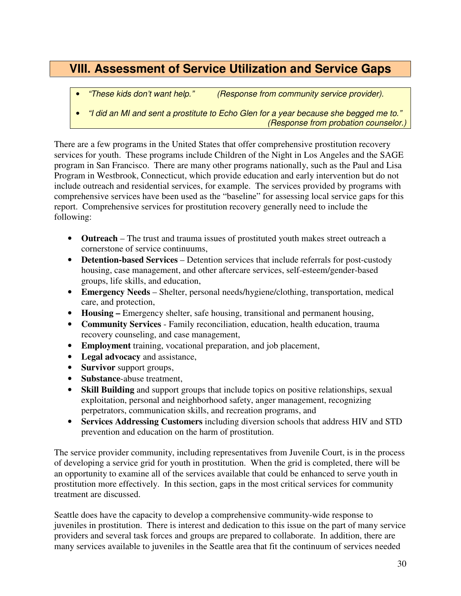# **VIII. Assessment of Service Utilization and Service Gaps**

- "These kids don't want help." (Response from community service provider).
- "I did an MI and sent a prostitute to Echo Glen for a year because she begged me to." (Response from probation counselor.)

There are a few programs in the United States that offer comprehensive prostitution recovery services for youth. These programs include Children of the Night in Los Angeles and the SAGE program in San Francisco. There are many other programs nationally, such as the Paul and Lisa Program in Westbrook, Connecticut, which provide education and early intervention but do not include outreach and residential services, for example. The services provided by programs with comprehensive services have been used as the "baseline" for assessing local service gaps for this report. Comprehensive services for prostitution recovery generally need to include the following:

- **Outreach** The trust and trauma issues of prostituted youth makes street outreach a cornerstone of service continuums,
- **Detention-based Services** Detention services that include referrals for post-custody housing, case management, and other aftercare services, self-esteem/gender-based groups, life skills, and education,
- **Emergency Needs** Shelter, personal needs/hygiene/clothing, transportation, medical care, and protection,
- **Housing –** Emergency shelter, safe housing, transitional and permanent housing,
- **Community Services** Family reconciliation, education, health education, trauma recovery counseling, and case management,
- **Employment** training, vocational preparation, and job placement,
- **Legal advocacy** and assistance,
- **Survivor** support groups,
- **Substance**-abuse treatment,
- **Skill Building** and support groups that include topics on positive relationships, sexual exploitation, personal and neighborhood safety, anger management, recognizing perpetrators, communication skills, and recreation programs, and
- **Services Addressing Customers** including diversion schools that address HIV and STD prevention and education on the harm of prostitution.

The service provider community, including representatives from Juvenile Court, is in the process of developing a service grid for youth in prostitution. When the grid is completed, there will be an opportunity to examine all of the services available that could be enhanced to serve youth in prostitution more effectively. In this section, gaps in the most critical services for community treatment are discussed.

Seattle does have the capacity to develop a comprehensive community-wide response to juveniles in prostitution. There is interest and dedication to this issue on the part of many service providers and several task forces and groups are prepared to collaborate. In addition, there are many services available to juveniles in the Seattle area that fit the continuum of services needed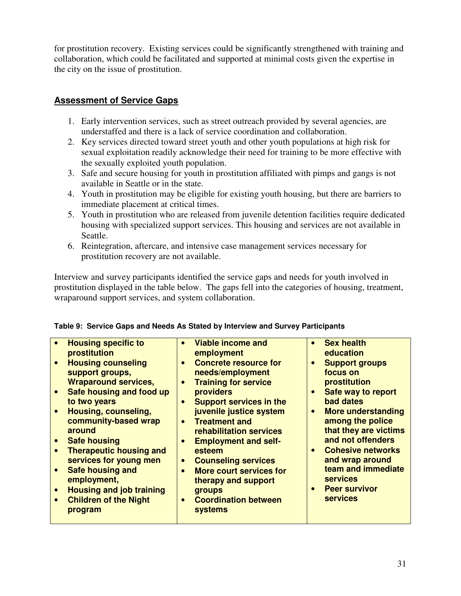for prostitution recovery. Existing services could be significantly strengthened with training and collaboration, which could be facilitated and supported at minimal costs given the expertise in the city on the issue of prostitution.

# **Assessment of Service Gaps**

- 1. Early intervention services, such as street outreach provided by several agencies, are understaffed and there is a lack of service coordination and collaboration.
- 2. Key services directed toward street youth and other youth populations at high risk for sexual exploitation readily acknowledge their need for training to be more effective with the sexually exploited youth population.
- 3. Safe and secure housing for youth in prostitution affiliated with pimps and gangs is not available in Seattle or in the state.
- 4. Youth in prostitution may be eligible for existing youth housing, but there are barriers to immediate placement at critical times.
- 5. Youth in prostitution who are released from juvenile detention facilities require dedicated housing with specialized support services. This housing and services are not available in Seattle.
- 6. Reintegration, aftercare, and intensive case management services necessary for prostitution recovery are not available.

Interview and survey participants identified the service gaps and needs for youth involved in prostitution displayed in the table below. The gaps fell into the categories of housing, treatment, wraparound support services, and system collaboration.

| <b>Housing specific to</b><br>prostitution<br><b>Housing counseling</b><br>support groups,<br><b>Wraparound services,</b><br>Safe housing and food up<br>to two years<br>Housing, counseling,<br>community-based wrap<br>around<br><b>Safe housing</b><br><b>Therapeutic housing and</b><br>services for young men<br><b>Safe housing and</b><br>employment,<br><b>Housing and job training</b><br><b>Children of the Night</b><br>program | <b>Viable income and</b><br>$\bullet$<br>employment<br><b>Concrete resource for</b><br>$\bullet$<br>needs/employment<br><b>Training for service</b><br>$\bullet$<br>providers<br><b>Support services in the</b><br>$\bullet$<br>juvenile justice system<br><b>Treatment and</b><br>$\bullet$<br><b>rehabilitation services</b><br><b>Employment and self-</b><br>$\bullet$<br>esteem<br><b>Counseling services</b><br>$\bullet$<br><b>More court services for</b><br>$\bullet$<br>therapy and support<br>groups<br><b>Coordination between</b><br>$\bullet$<br><b>systems</b> | <b>Sex health</b><br>$\bullet$<br>education<br><b>Support groups</b><br>$\bullet$<br>focus on<br>prostitution<br><b>Safe way to report</b><br>$\bullet$<br><b>bad dates</b><br><b>More understanding</b><br>$\bullet$<br>among the police<br>that they are victims<br>and not offenders<br><b>Cohesive networks</b><br>and wrap around<br>team and immediate<br><b>services</b><br><b>Peer survivor</b><br><b>services</b> |
|--------------------------------------------------------------------------------------------------------------------------------------------------------------------------------------------------------------------------------------------------------------------------------------------------------------------------------------------------------------------------------------------------------------------------------------------|-------------------------------------------------------------------------------------------------------------------------------------------------------------------------------------------------------------------------------------------------------------------------------------------------------------------------------------------------------------------------------------------------------------------------------------------------------------------------------------------------------------------------------------------------------------------------------|----------------------------------------------------------------------------------------------------------------------------------------------------------------------------------------------------------------------------------------------------------------------------------------------------------------------------------------------------------------------------------------------------------------------------|
|--------------------------------------------------------------------------------------------------------------------------------------------------------------------------------------------------------------------------------------------------------------------------------------------------------------------------------------------------------------------------------------------------------------------------------------------|-------------------------------------------------------------------------------------------------------------------------------------------------------------------------------------------------------------------------------------------------------------------------------------------------------------------------------------------------------------------------------------------------------------------------------------------------------------------------------------------------------------------------------------------------------------------------------|----------------------------------------------------------------------------------------------------------------------------------------------------------------------------------------------------------------------------------------------------------------------------------------------------------------------------------------------------------------------------------------------------------------------------|

### **Table 9: Service Gaps and Needs As Stated by Interview and Survey Participants**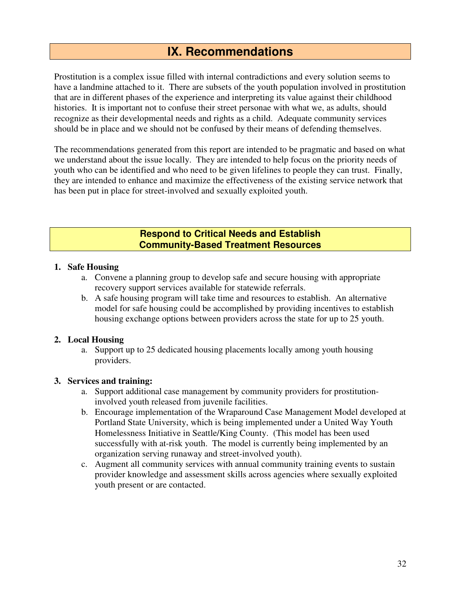# **IX. Recommendations**

Prostitution is a complex issue filled with internal contradictions and every solution seems to have a landmine attached to it. There are subsets of the youth population involved in prostitution that are in different phases of the experience and interpreting its value against their childhood histories. It is important not to confuse their street personae with what we, as adults, should recognize as their developmental needs and rights as a child. Adequate community services should be in place and we should not be confused by their means of defending themselves.

The recommendations generated from this report are intended to be pragmatic and based on what we understand about the issue locally. They are intended to help focus on the priority needs of youth who can be identified and who need to be given lifelines to people they can trust. Finally, they are intended to enhance and maximize the effectiveness of the existing service network that has been put in place for street-involved and sexually exploited youth.

## **Respond to Critical Needs and Establish Community-Based Treatment Resources**

### **1. Safe Housing**

- a. Convene a planning group to develop safe and secure housing with appropriate recovery support services available for statewide referrals.
- b. A safe housing program will take time and resources to establish. An alternative model for safe housing could be accomplished by providing incentives to establish housing exchange options between providers across the state for up to 25 youth.

### **2. Local Housing**

a. Support up to 25 dedicated housing placements locally among youth housing providers.

### **3. Services and training:**

- a. Support additional case management by community providers for prostitutioninvolved youth released from juvenile facilities.
- b. Encourage implementation of the Wraparound Case Management Model developed at Portland State University, which is being implemented under a United Way Youth Homelessness Initiative in Seattle/King County. (This model has been used successfully with at-risk youth. The model is currently being implemented by an organization serving runaway and street-involved youth).
- c. Augment all community services with annual community training events to sustain provider knowledge and assessment skills across agencies where sexually exploited youth present or are contacted.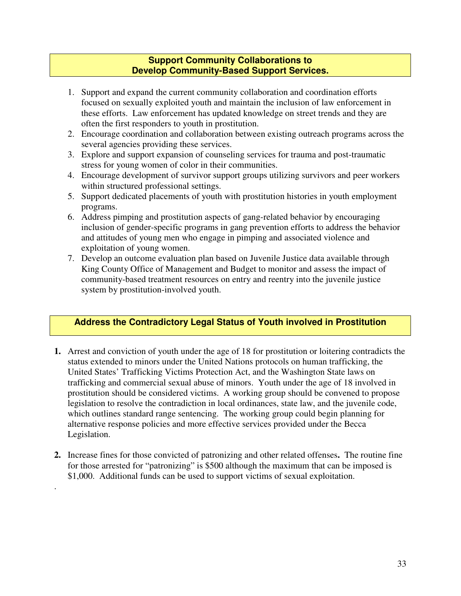### **Support Community Collaborations to Develop Community-Based Support Services.**

- 1. Support and expand the current community collaboration and coordination efforts focused on sexually exploited youth and maintain the inclusion of law enforcement in these efforts. Law enforcement has updated knowledge on street trends and they are often the first responders to youth in prostitution.
- 2. Encourage coordination and collaboration between existing outreach programs across the several agencies providing these services.
- 3. Explore and support expansion of counseling services for trauma and post-traumatic stress for young women of color in their communities.
- 4. Encourage development of survivor support groups utilizing survivors and peer workers within structured professional settings.
- 5. Support dedicated placements of youth with prostitution histories in youth employment programs.
- 6. Address pimping and prostitution aspects of gang-related behavior by encouraging inclusion of gender-specific programs in gang prevention efforts to address the behavior and attitudes of young men who engage in pimping and associated violence and exploitation of young women.
- 7. Develop an outcome evaluation plan based on Juvenile Justice data available through King County Office of Management and Budget to monitor and assess the impact of community-based treatment resources on entry and reentry into the juvenile justice system by prostitution-involved youth.

# **Address the Contradictory Legal Status of Youth involved in Prostitution**

- **1.** Arrest and conviction of youth under the age of 18 for prostitution or loitering contradicts the status extended to minors under the United Nations protocols on human trafficking, the United States' Trafficking Victims Protection Act, and the Washington State laws on trafficking and commercial sexual abuse of minors. Youth under the age of 18 involved in prostitution should be considered victims. A working group should be convened to propose legislation to resolve the contradiction in local ordinances, state law, and the juvenile code, which outlines standard range sentencing. The working group could begin planning for alternative response policies and more effective services provided under the Becca Legislation.
- **2.** Increase fines for those convicted of patronizing and other related offenses**.** The routine fine for those arrested for "patronizing" is \$500 although the maximum that can be imposed is \$1,000. Additional funds can be used to support victims of sexual exploitation.

.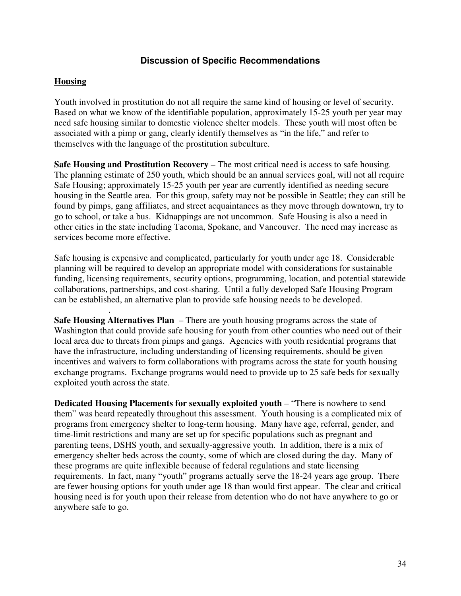### **Discussion of Specific Recommendations**

#### **Housing**

.

Youth involved in prostitution do not all require the same kind of housing or level of security. Based on what we know of the identifiable population, approximately 15-25 youth per year may need safe housing similar to domestic violence shelter models. These youth will most often be associated with a pimp or gang, clearly identify themselves as "in the life," and refer to themselves with the language of the prostitution subculture.

**Safe Housing and Prostitution Recovery** – The most critical need is access to safe housing. The planning estimate of 250 youth, which should be an annual services goal, will not all require Safe Housing; approximately 15-25 youth per year are currently identified as needing secure housing in the Seattle area. For this group, safety may not be possible in Seattle; they can still be found by pimps, gang affiliates, and street acquaintances as they move through downtown, try to go to school, or take a bus. Kidnappings are not uncommon. Safe Housing is also a need in other cities in the state including Tacoma, Spokane, and Vancouver. The need may increase as services become more effective.

Safe housing is expensive and complicated, particularly for youth under age 18. Considerable planning will be required to develop an appropriate model with considerations for sustainable funding, licensing requirements, security options, programming, location, and potential statewide collaborations, partnerships, and cost-sharing. Until a fully developed Safe Housing Program can be established, an alternative plan to provide safe housing needs to be developed.

**Safe Housing Alternatives Plan** – There are youth housing programs across the state of Washington that could provide safe housing for youth from other counties who need out of their local area due to threats from pimps and gangs. Agencies with youth residential programs that have the infrastructure, including understanding of licensing requirements, should be given incentives and waivers to form collaborations with programs across the state for youth housing exchange programs. Exchange programs would need to provide up to 25 safe beds for sexually exploited youth across the state.

**Dedicated Housing Placements for sexually exploited youth** – "There is nowhere to send them" was heard repeatedly throughout this assessment. Youth housing is a complicated mix of programs from emergency shelter to long-term housing. Many have age, referral, gender, and time-limit restrictions and many are set up for specific populations such as pregnant and parenting teens, DSHS youth, and sexually-aggressive youth. In addition, there is a mix of emergency shelter beds across the county, some of which are closed during the day. Many of these programs are quite inflexible because of federal regulations and state licensing requirements. In fact, many "youth" programs actually serve the 18-24 years age group. There are fewer housing options for youth under age 18 than would first appear. The clear and critical housing need is for youth upon their release from detention who do not have anywhere to go or anywhere safe to go.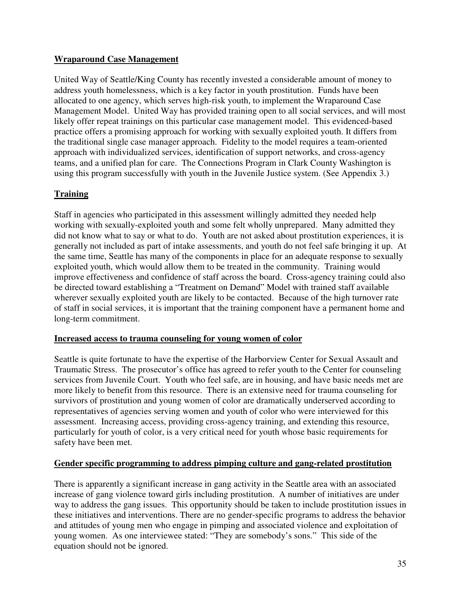## **Wraparound Case Management**

United Way of Seattle/King County has recently invested a considerable amount of money to address youth homelessness, which is a key factor in youth prostitution. Funds have been allocated to one agency, which serves high-risk youth, to implement the Wraparound Case Management Model. United Way has provided training open to all social services, and will most likely offer repeat trainings on this particular case management model. This evidenced-based practice offers a promising approach for working with sexually exploited youth. It differs from the traditional single case manager approach. Fidelity to the model requires a team-oriented approach with individualized services, identification of support networks, and cross-agency teams, and a unified plan for care. The Connections Program in Clark County Washington is using this program successfully with youth in the Juvenile Justice system. (See Appendix 3.)

## **Training**

Staff in agencies who participated in this assessment willingly admitted they needed help working with sexually-exploited youth and some felt wholly unprepared. Many admitted they did not know what to say or what to do. Youth are not asked about prostitution experiences, it is generally not included as part of intake assessments, and youth do not feel safe bringing it up. At the same time, Seattle has many of the components in place for an adequate response to sexually exploited youth, which would allow them to be treated in the community. Training would improve effectiveness and confidence of staff across the board. Cross-agency training could also be directed toward establishing a "Treatment on Demand" Model with trained staff available wherever sexually exploited youth are likely to be contacted. Because of the high turnover rate of staff in social services, it is important that the training component have a permanent home and long-term commitment.

### **Increased access to trauma counseling for young women of color**

Seattle is quite fortunate to have the expertise of the Harborview Center for Sexual Assault and Traumatic Stress. The prosecutor's office has agreed to refer youth to the Center for counseling services from Juvenile Court. Youth who feel safe, are in housing, and have basic needs met are more likely to benefit from this resource. There is an extensive need for trauma counseling for survivors of prostitution and young women of color are dramatically underserved according to representatives of agencies serving women and youth of color who were interviewed for this assessment. Increasing access, providing cross-agency training, and extending this resource, particularly for youth of color, is a very critical need for youth whose basic requirements for safety have been met.

### **Gender specific programming to address pimping culture and gang-related prostitution**

There is apparently a significant increase in gang activity in the Seattle area with an associated increase of gang violence toward girls including prostitution. A number of initiatives are under way to address the gang issues. This opportunity should be taken to include prostitution issues in these initiatives and interventions. There are no gender-specific programs to address the behavior and attitudes of young men who engage in pimping and associated violence and exploitation of young women. As one interviewee stated: "They are somebody's sons." This side of the equation should not be ignored.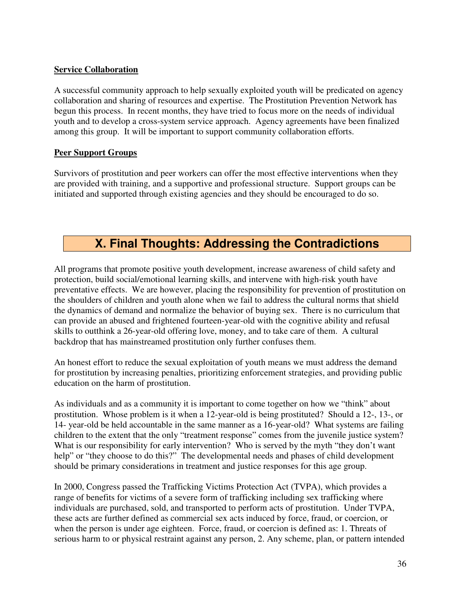### **Service Collaboration**

A successful community approach to help sexually exploited youth will be predicated on agency collaboration and sharing of resources and expertise. The Prostitution Prevention Network has begun this process. In recent months, they have tried to focus more on the needs of individual youth and to develop a cross-system service approach. Agency agreements have been finalized among this group. It will be important to support community collaboration efforts.

### **Peer Support Groups**

Survivors of prostitution and peer workers can offer the most effective interventions when they are provided with training, and a supportive and professional structure. Support groups can be initiated and supported through existing agencies and they should be encouraged to do so.

# **X. Final Thoughts: Addressing the Contradictions**

All programs that promote positive youth development, increase awareness of child safety and protection, build social/emotional learning skills, and intervene with high-risk youth have preventative effects. We are however, placing the responsibility for prevention of prostitution on the shoulders of children and youth alone when we fail to address the cultural norms that shield the dynamics of demand and normalize the behavior of buying sex. There is no curriculum that can provide an abused and frightened fourteen-year-old with the cognitive ability and refusal skills to outthink a 26-year-old offering love, money, and to take care of them. A cultural backdrop that has mainstreamed prostitution only further confuses them.

An honest effort to reduce the sexual exploitation of youth means we must address the demand for prostitution by increasing penalties, prioritizing enforcement strategies, and providing public education on the harm of prostitution.

As individuals and as a community it is important to come together on how we "think" about prostitution. Whose problem is it when a 12-year-old is being prostituted? Should a 12-, 13-, or 14- year-old be held accountable in the same manner as a 16-year-old? What systems are failing children to the extent that the only "treatment response" comes from the juvenile justice system? What is our responsibility for early intervention? Who is served by the myth "they don't want help" or "they choose to do this?" The developmental needs and phases of child development should be primary considerations in treatment and justice responses for this age group.

In 2000, Congress passed the Trafficking Victims Protection Act (TVPA), which provides a range of benefits for victims of a severe form of trafficking including sex trafficking where individuals are purchased, sold, and transported to perform acts of prostitution. Under TVPA, these acts are further defined as commercial sex acts induced by force, fraud, or coercion, or when the person is under age eighteen. Force, fraud, or coercion is defined as: 1. Threats of serious harm to or physical restraint against any person, 2. Any scheme, plan, or pattern intended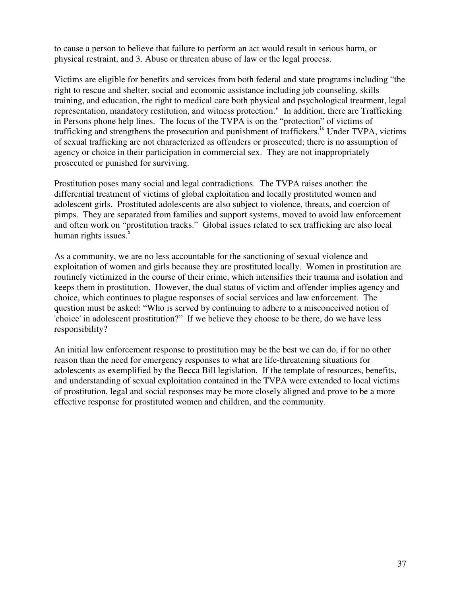to cause a person to believe that failure to perform an act would result in serious harm, or physical restraint, and 3. Abuse or threaten abuse of law or the legal process.

Victims are eligible for benefits and services from both federal and state programs including "the right to rescue and shelter, social and economic assistance including job counseling, skills training, and education, the right to medical care both physical and psychological treatment, legal representation, mandatory restitution, and witness protection." In addition, there are Trafficking in Persons phone help lines. The focus of the TVPA is on the "protection" of victims of trafficking and strengthens the prosecution and punishment of traffickers.<sup>ix</sup> Under TVPA, victims of sexual trafficking are not characterized as offenders or prosecuted; there is no assumption of agency or choice in their participation in commercial sex. They are not inappropriately prosecuted or punished for surviving.

Prostitution poses many social and legal contradictions. The TVPA raises another: the differential treatment of victims of global exploitation and locally prostituted women and adolescent girls. Prostituted adolescents are also subject to violence, threats, and coercion of pimps. They are separated from families and support systems, moved to avoid law enforcement and often work on "prostitution tracks." Global issues related to sex trafficking are also local human rights issues. $\frac{x}{x}$ 

As a community, we are no less accountable for the sanctioning of sexual violence and exploitation of women and girls because they are prostituted locally. Women in prostitution are routinely victimized in the course of their crime, which intensifies their trauma and isolation and keeps them in prostitution. However, the dual status of victim and offender implies agency and choice, which continues to plague responses of social services and law enforcement. The question must be asked: "Who is served by continuing to adhere to a misconceived notion of 'choice' in adolescent prostitution?" If we believe they choose to be there, do we have less responsibility?

An initial law enforcement response to prostitution may be the best we can do, if for no other reason than the need for emergency responses to what are life-threatening situations for adolescents as exemplified by the Becca Bill legislation. If the template of resources, benefits, and understanding of sexual exploitation contained in the TVPA were extended to local victims of prostitution, legal and social responses may be more closely aligned and prove to be a more effective response for prostituted women and children, and the community.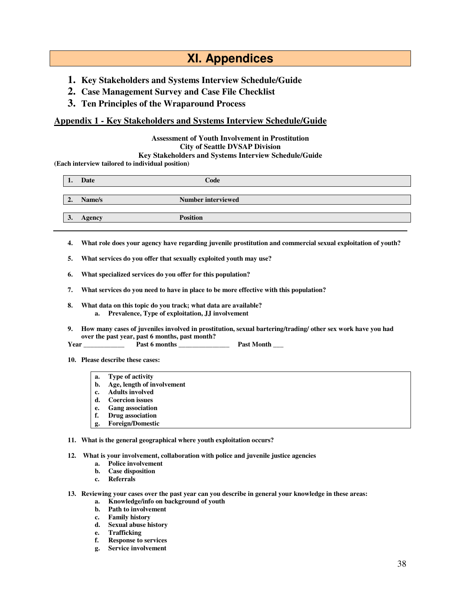# **XI. Appendices**

- **1. Key Stakeholders and Systems Interview Schedule/Guide**
- **2. Case Management Survey and Case File Checklist**
- **3. Ten Principles of the Wraparound Process**

#### **Appendix 1 - Key Stakeholders and Systems Interview Schedule/Guide**

**Assessment of Youth Involvement in Prostitution City of Seattle DVSAP Division** 

**Key Stakeholders and Systems Interview Schedule/Guide** 

**(Each interview tailored to individual position)** 

| $\mathbf{1}$ . | Date   | Code                      |
|----------------|--------|---------------------------|
|                |        |                           |
| 2.             | Name/s | <b>Number interviewed</b> |
|                |        |                           |
| $\mathfrak{I}$ | Agency | <b>Position</b>           |
|                |        |                           |

- **4. What role does your agency have regarding juvenile prostitution and commercial sexual exploitation of youth?**
- **5. What services do you offer that sexually exploited youth may use?**
- **6. What specialized services do you offer for this population?**
- **7. What services do you need to have in place to be more effective with this population?**
- **8. What data on this topic do you track; what data are available? a. Prevalence, Type of exploitation, JJ involvement**
- **9. How many cases of juveniles involved in prostitution, sexual bartering/trading/ other sex work have you had over the past year, past 6 months, past month?**<br>**Past 6 months**

**Year \_\_\_\_\_\_\_\_\_\_\_\_ Past 6 months \_\_\_\_\_\_\_\_\_\_\_\_\_\_\_ Past Month \_\_\_** 

- **10. Please describe these cases:** 
	- **a. Type of activity**
	- **b. Age, length of involvement**
	- **c. Adults involved**
	- **d. Coercion issues**
	- **e. Gang association**
	- **f. Drug association**
	- **g. Foreign/Domestic**

**11. What is the general geographical where youth exploitation occurs?** 

- **12. What is your involvement, collaboration with police and juvenile justice agencies** 
	- **a. Police involvement**
	- **b. Case disposition**
	- **c. Referrals**
- **13. Reviewing your cases over the past year can you describe in general your knowledge in these areas:** 
	- **a. Knowledge/info on background of youth**
	- **b. Path to involvement**
	- **c. Family history**
	- **d. Sexual abuse history**
	- **e. Trafficking**
	- **f. Response to services**
	- **g. Service involvement**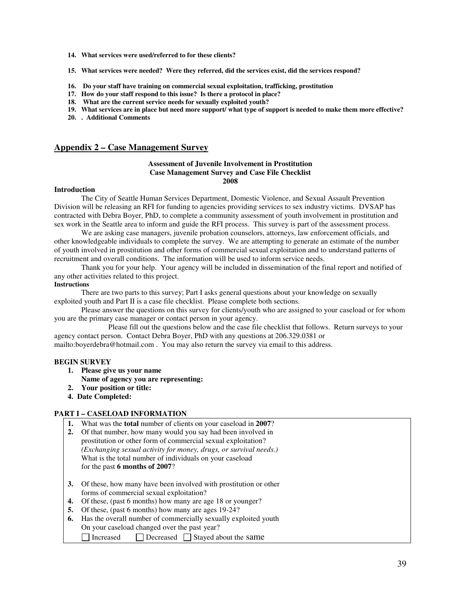- **14. What services were used/referred to for these clients?**
- **15. What services were needed? Were they referred, did the services exist, did the services respond?**
- **16. Do your staff have training on commercial sexual exploitation, trafficking, prostitution**
- **17. How do your staff respond to this issue? Is there a protocol in place?**
- **18. What are the current service needs for sexually exploited youth?**
- **19. What services are in place but need more support/ what type of support is needed to make them more effective?**
- **20. . Additional Comments**

#### **Appendix 2 – Case Management Survey**

#### **Assessment of Juvenile Involvement in Prostitution Case Management Survey and Case File Checklist 2008**

#### **Introduction**

 The City of Seattle Human Services Department, Domestic Violence, and Sexual Assault Prevention Division will be releasing an RFI for funding to agencies providing services to sex industry victims. DVSAP has contracted with Debra Boyer, PhD, to complete a community assessment of youth involvement in prostitution and sex work in the Seattle area to inform and guide the RFI process. This survey is part of the assessment process.

 We are asking case managers, juvenile probation counselors, attorneys, law enforcement officials, and other knowledgeable individuals to complete the survey. We are attempting to generate an estimate of the number of youth involved in prostitution and other forms of commercial sexual exploitation and to understand patterns of recruitment and overall conditions. The information will be used to inform service needs.

 Thank you for your help. Your agency will be included in dissemination of the final report and notified of any other activities related to this project.

#### **Instructions**

 There are two parts to this survey; Part I asks general questions about your knowledge on sexually exploited youth and Part II is a case file checklist. Please complete both sections.

 Please answer the questions on this survey for clients/youth who are assigned to your caseload or for whom you are the primary case manager or contact person in your agency.

 Please fill out the questions below and the case file checklist that follows. Return surveys to your agency contact person. Contact Debra Boyer, PhD with any questions at 206.329.0381 or

mailto:boyerdebra@hotmail.com . You may also return the survey via email to this address.

#### **BEGIN SURVEY**

- **1. Please give us your name** 
	- **Name of agency you are representing:**
- **2. Your position or title:**
- **4. Date Completed:**

#### **PART I – CASELOAD INFORMATION**

- **1.** What was the **total** number of clients on your caseload in **2007**?
- **2.** Of that number, how many would you say had been involved in prostitution or other form of commercial sexual exploitation? *(Exchanging sexual activity for money, drugs, or survival needs.)*  What is the total number of individuals on your caseload for the past **6 months of 2007**?
- **3.** Of these, how many have been involved with prostitution or other forms of commercial sexual exploitation?
- **4.** Of these, (past 6 months) how many are age 18 or younger?
- **5.** Of these, (past 6 months) how many are ages 19-24?
- **6.** Has the overall number of commercially sexually exploited youth On your caseload changed over the past year? □ Increased □ Decreased □ Stayed about the same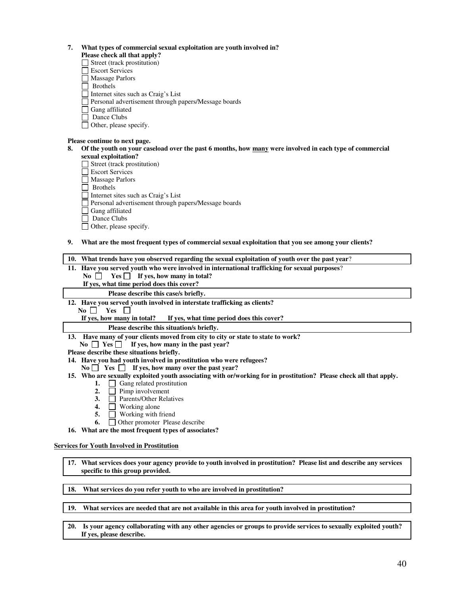#### **7. What types of commercial sexual exploitation are youth involved in?**

- **Please check all that apply?**
- Street (track prostitution)
- Escort Services
- Massage Parlors
- Brothels
- $\overline{\Box}$  Internet sites such as Craig's List
- □ Personal advertisement through papers/Message boards
- Gang affiliated
- $\Box$  Dance Clubs
- $\Box$  Other, please specify.

#### **Please continue to next page.**

- **8. Of the youth on your caseload over the past 6 months, how many were involved in each type of commercial sexual exploitation?** 
	- Street (track prostitution)
	- □ Escort Services
	- Massage Parlors
	- Brothels
	- Internet sites such as Craig's List
	- Personal advertisement through papers/Message boards
	- Gang affiliated
	- $\Box$  Dance Clubs
	- □ Other, please specify.

#### **9. What are the most frequent types of commercial sexual exploitation that you see among your clients?**

#### **10. What trends have you observed regarding the sexual exploitation of youth over the past year**?

- **11. Have you served youth who were involved in international trafficking for sexual purposes**?
	- $\text{No} \ \Box \ \text{Yes} \ \Box \ \text{If yes, how many in total?}$
	- **If yes, what time period does this cover?**
	- **Please describe this case/s briefly.**

#### **12. Have you served youth involved in interstate trafficking as clients?**

 **No Yes** 

**If yes, how many in total? If yes, what time period does this cover?** 

**Please describe this situation/s briefly.** 

- **13. Have many of your clients moved from city to city or state to state to work?**
- No  $\Box$  Yes  $\Box$  If yes, how many in the past year?

**Please describe these situations briefly.** 

- **14. Have you had youth involved in prostitution who were refugees?** 
	- $\text{No} \ \Box \ \text{Yes} \ \Box \ \text{If yes, how many over the past year?}$
- **15. Who are sexually exploited youth associating with or/working for in prostitution? Please check all that apply.** 
	- **1.**  $\Box$  Gang related prostitution
	- **2.** Pimp involvement
	- **3.** Parents/Other Relatives
	- **4.** Working alone
	- **5.**  $\Box$  Working with friend
	- **6.** Other promoter Please describe
- **16. What are the most frequent types of associates?**

#### **Services for Youth Involved in Prostitution**

**17. What services does your agency provide to youth involved in prostitution? Please list and describe any services specific to this group provided.** 

**18. What services do you refer youth to who are involved in prostitution?** 

**19. What services are needed that are not available in this area for youth involved in prostitution?** 

**20. Is your agency collaborating with any other agencies or groups to provide services to sexually exploited youth? If yes, please describe.**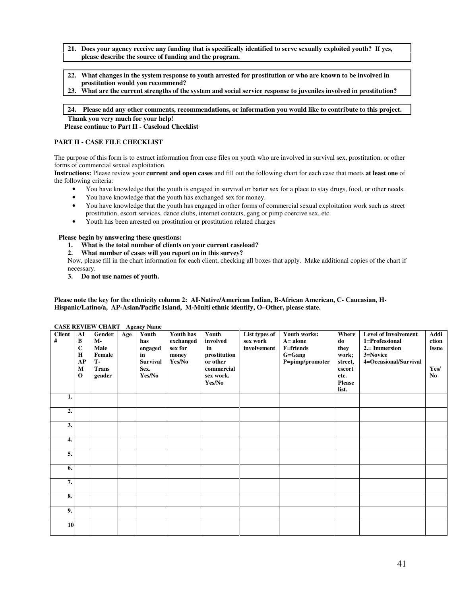- **21. Does your agency receive any funding that is specifically identified to serve sexually exploited youth? If yes, please describe the source of funding and the program.**
- **22. What changes in the system response to youth arrested for prostitution or who are known to be involved in prostitution would you recommend?**
- **23. What are the current strengths of the system and social service response to juveniles involved in prostitution?**

#### **24. Please add any other comments, recommendations, or information you would like to contribute to this project. Thank you very much for your help!**

 **Please continue to Part II - Caseload Checklist** 

#### **PART II - CASE FILE CHECKLIST**

The purpose of this form is to extract information from case files on youth who are involved in survival sex, prostitution, or other forms of commercial sexual exploitation.

**Instructions:** Please review your **current and open cases** and fill out the following chart for each case that meets **at least one** of the following criteria:

- You have knowledge that the youth is engaged in survival or barter sex for a place to stay drugs, food, or other needs.
- You have knowledge that the youth has exchanged sex for money.
- You have knowledge that the youth has engaged in other forms of commercial sexual exploitation work such as street prostitution, escort services, dance clubs, internet contacts, gang or pimp coercive sex, etc.
- Youth has been arrested on prostitution or prostitution related charges

**Please begin by answering these questions:** 

- **1. What is the total number of clients on your current caseload?**
- **2. What number of cases will you report on in this survey?**

Now, please fill in the chart information for each client, checking all boxes that apply. Make additional copies of the chart if necessary.

**3. Do not use names of youth.** 

**Please note the key for the ethnicity column 2: AI-Native/American Indian, B-African American, C- Caucasian, H-Hispanic/Latino/a, AP-Asian/Pacific Island, M-Multi ethnic identify, O–Other, please state.**

|               |              | CASE REVIEW CHART Agency Name |     |                 |           |              |               |                  |               |                             |              |
|---------------|--------------|-------------------------------|-----|-----------------|-----------|--------------|---------------|------------------|---------------|-----------------------------|--------------|
| <b>Client</b> | ${\bf AI}$   | Gender                        | Age | Youth           | Youth has | Youth        | List types of | Youth works:     | Where         | <b>Level of Involvement</b> | Addi         |
| #             | B            | <b>M-</b>                     |     | has             | exchanged | involved     | sex work      | $A = alone$      | do            | 1=Professional              | ction        |
|               | $\mathbf C$  | Male                          |     | engaged         | sex for   | in           | involvement   | <b>F=friends</b> | they          | 2.= Immersion               | <b>Issue</b> |
|               | H            | Female                        |     | in              | money     | prostitution |               | G=Gang           | work;         | 3=Novice                    |              |
|               | AP           | <b>T-</b>                     |     | <b>Survival</b> | Yes/No    | or other     |               | P=pimp/promoter  | street,       | 4=Occasional/Survival       |              |
|               | M            | <b>Trans</b>                  |     | Sex.            |           | commercial   |               |                  | escort        |                             | Yes/         |
|               | $\mathbf{o}$ | gender                        |     | Yes/No          |           | sex work.    |               |                  | etc.          |                             | No           |
|               |              |                               |     |                 |           | Yes/No       |               |                  | <b>Please</b> |                             |              |
|               |              |                               |     |                 |           |              |               |                  |               |                             |              |
|               |              |                               |     |                 |           |              |               |                  | list.         |                             |              |
| 1.            |              |                               |     |                 |           |              |               |                  |               |                             |              |
|               |              |                               |     |                 |           |              |               |                  |               |                             |              |
| 2.            |              |                               |     |                 |           |              |               |                  |               |                             |              |
|               |              |                               |     |                 |           |              |               |                  |               |                             |              |
| 3.            |              |                               |     |                 |           |              |               |                  |               |                             |              |
|               |              |                               |     |                 |           |              |               |                  |               |                             |              |
| 4.            |              |                               |     |                 |           |              |               |                  |               |                             |              |
|               |              |                               |     |                 |           |              |               |                  |               |                             |              |
| 5.            |              |                               |     |                 |           |              |               |                  |               |                             |              |
|               |              |                               |     |                 |           |              |               |                  |               |                             |              |
|               |              |                               |     |                 |           |              |               |                  |               |                             |              |
| 6.            |              |                               |     |                 |           |              |               |                  |               |                             |              |
|               |              |                               |     |                 |           |              |               |                  |               |                             |              |
| 7.            |              |                               |     |                 |           |              |               |                  |               |                             |              |
|               |              |                               |     |                 |           |              |               |                  |               |                             |              |
| 8.            |              |                               |     |                 |           |              |               |                  |               |                             |              |
|               |              |                               |     |                 |           |              |               |                  |               |                             |              |
| 9.            |              |                               |     |                 |           |              |               |                  |               |                             |              |
|               |              |                               |     |                 |           |              |               |                  |               |                             |              |
|               |              |                               |     |                 |           |              |               |                  |               |                             |              |
|               |              |                               |     |                 |           |              |               |                  |               |                             |              |
| 10            |              |                               |     |                 |           |              |               |                  |               |                             |              |

#### **CASE REVIEW CHART Agency Name**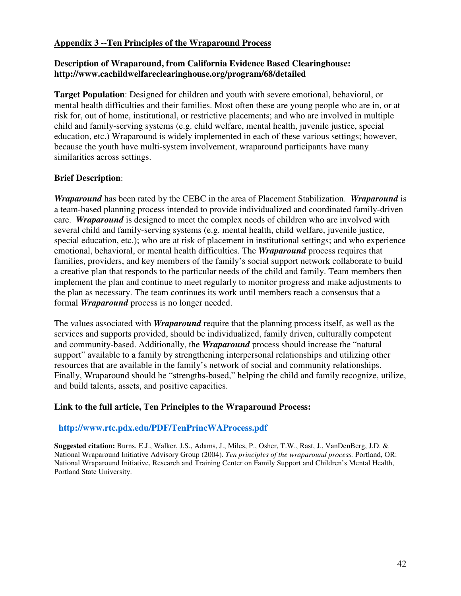### **Appendix 3 --Ten Principles of the Wraparound Process**

### **Description of Wraparound, from California Evidence Based Clearinghouse: http://www.cachildwelfareclearinghouse.org/program/68/detailed**

**Target Population**: Designed for children and youth with severe emotional, behavioral, or mental health difficulties and their families. Most often these are young people who are in, or at risk for, out of home, institutional, or restrictive placements; and who are involved in multiple child and family-serving systems (e.g. child welfare, mental health, juvenile justice, special education, etc.) Wraparound is widely implemented in each of these various settings; however, because the youth have multi-system involvement, wraparound participants have many similarities across settings.

### **Brief Description**:

*Wraparound* has been rated by the CEBC in the area of Placement Stabilization. *Wraparound* is a team-based planning process intended to provide individualized and coordinated family-driven care. *Wraparound* is designed to meet the complex needs of children who are involved with several child and family-serving systems (e.g. mental health, child welfare, juvenile justice, special education, etc.); who are at risk of placement in institutional settings; and who experience emotional, behavioral, or mental health difficulties. The *Wraparound* process requires that families, providers, and key members of the family's social support network collaborate to build a creative plan that responds to the particular needs of the child and family. Team members then implement the plan and continue to meet regularly to monitor progress and make adjustments to the plan as necessary. The team continues its work until members reach a consensus that a formal *Wraparound* process is no longer needed.

The values associated with *Wraparound* require that the planning process itself, as well as the services and supports provided, should be individualized, family driven, culturally competent and community-based. Additionally, the *Wraparound* process should increase the "natural support" available to a family by strengthening interpersonal relationships and utilizing other resources that are available in the family's network of social and community relationships. Finally, Wraparound should be "strengths-based," helping the child and family recognize, utilize, and build talents, assets, and positive capacities.

### **Link to the full article, Ten Principles to the Wraparound Process:**

### **http://www.rtc.pdx.edu/PDF/TenPrincWAProcess.pdf**

**Suggested citation:** Burns, E.J., Walker, J.S., Adams, J., Miles, P., Osher, T.W., Rast, J., VanDenBerg, J.D. & National Wraparound Initiative Advisory Group (2004). *Ten principles of the wraparound process.* Portland, OR: National Wraparound Initiative, Research and Training Center on Family Support and Children's Mental Health, Portland State University.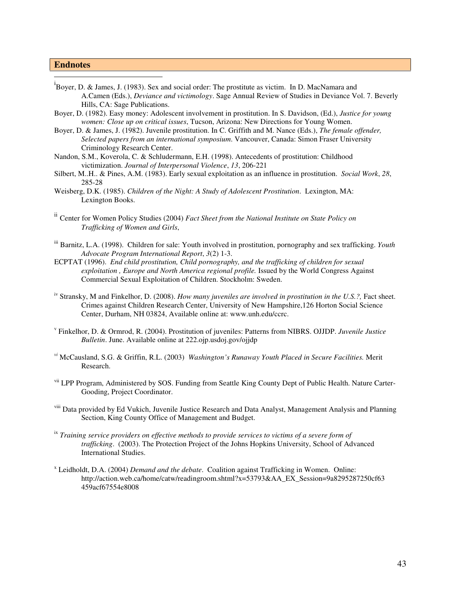#### **Endnotes**

 $\overline{a}$ 

- <sup>i</sup>Boyer, D. & James, J. (1983). Sex and social order: The prostitute as victim. In D. MacNamara and A.Camen (Eds.), *Deviance and victimology*. Sage Annual Review of Studies in Deviance Vol. 7. Beverly Hills, CA: Sage Publications.
- Boyer, D. (1982). Easy money: Adolescent involvement in prostitution. In S. Davidson, (Ed.), *Justice for young women: Close up on critical issues*, Tucson, Arizona: New Directions for Young Women.
- Boyer, D. & James, J. (1982). Juvenile prostitution. In C. Griffith and M. Nance (Eds.), *The female offender, Selected papers from an international symposium*. Vancouver, Canada: Simon Fraser University Criminology Research Center.
- Nandon, S.M., Koverola, C. & Schludermann, E.H. (1998). Antecedents of prostitution: Childhood victimization. *Journal of Interpersonal Violence*, *13*, 206-221
- Silbert, M..H.. & Pines, A.M. (1983). Early sexual exploitation as an influence in prostitution. *Social Work*, *28*, 285-28
- Weisberg, D.K. (1985). *Children of the Night: A Study of Adolescent Prostitution*. Lexington, MA: Lexington Books.
- ii Center for Women Policy Studies (2004) *Fact Sheet from the National Institute on State Policy on Trafficking of Women and Girls*,
- iii Barnitz, L.A. (1998). Children for sale: Youth involved in prostitution, pornography and sex trafficking. *Youth Advocate Program International Report*, *3*(2) 1-3.
- ECPTAT (1996). *End child prostitution, Child pornography, and the trafficking of children for sexual exploitation , Europe and North America regional profile.* Issued by the World Congress Against Commercial Sexual Exploitation of Children. Stockholm: Sweden.
- iv Stransky, M and Finkelhor, D. (2008). *How many juveniles are involved in prostitution in the U.S.?,* Fact sheet. Crimes against Children Research Center, University of New Hampshire,126 Horton Social Science Center, Durham, NH 03824, Available online at: www.unh.edu/ccrc.
- v Finkelhor, D. & Ormrod, R. (2004). Prostitution of juveniles: Patterns from NIBRS. OJJDP. *Juvenile Justice Bulletin*. June. Available online at 222.ojp.usdoj.gov/ojjdp
- *vi* McCausland, S.G. & Griffin, R.L. (2003) *Washington's Runaway Youth Placed in Secure Facilities.* Merit Research.
- vii LPP Program, Administered by SOS. Funding from Seattle King County Dept of Public Health. Nature Carter-Gooding, Project Coordinator.
- viii Data provided by Ed Vukich, Juvenile Justice Research and Data Analyst, Management Analysis and Planning Section, King County Office of Management and Budget.
- ix *Training service providers on effective methods to provide services to victims of a severe form of trafficking*. (2003). The Protection Project of the Johns Hopkins University, School of Advanced International Studies.
- x Leidholdt, D.A. (2004) *Demand and the debate*. Coalition against Trafficking in Women. Online: http://action.web.ca/home/catw/readingroom.shtml?x=53793&AA\_EX\_Session=9a8295287250cf63 459acf67554e8008